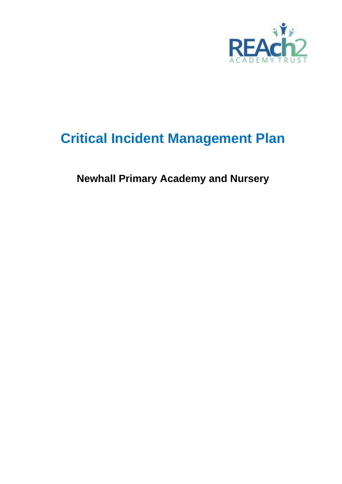

# <span id="page-0-0"></span>**Critical Incident Management Plan**

**Newhall Primary Academy and Nursery**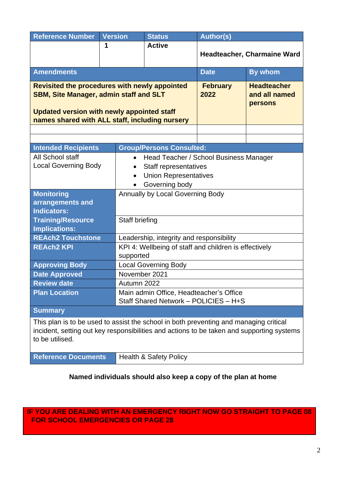| <b>Reference Number</b>                                                                                                                                                                                      | <b>Version</b>                   | <b>Status</b>                                                                                                     | <b>Author(s)</b>        |                                                |
|--------------------------------------------------------------------------------------------------------------------------------------------------------------------------------------------------------------|----------------------------------|-------------------------------------------------------------------------------------------------------------------|-------------------------|------------------------------------------------|
|                                                                                                                                                                                                              | 1                                | <b>Active</b>                                                                                                     |                         | <b>Headteacher, Charmaine Ward</b>             |
| <b>Amendments</b>                                                                                                                                                                                            |                                  |                                                                                                                   |                         | <b>By whom</b>                                 |
| <b>Revisited the procedures with newly appointed</b><br><b>SBM, Site Manager, admin staff and SLT</b><br><b>Updated version with newly appointed staff</b><br>names shared with ALL staff, including nursery |                                  |                                                                                                                   | <b>February</b><br>2022 | <b>Headteacher</b><br>and all named<br>persons |
|                                                                                                                                                                                                              |                                  |                                                                                                                   |                         |                                                |
|                                                                                                                                                                                                              |                                  |                                                                                                                   |                         |                                                |
| <b>Intended Recipients</b>                                                                                                                                                                                   |                                  | <b>Group/Persons Consulted:</b>                                                                                   |                         |                                                |
| All School staff<br><b>Local Governing Body</b>                                                                                                                                                              |                                  | Head Teacher / School Business Manager<br>Staff representatives<br><b>Union Representatives</b><br>Governing body |                         |                                                |
| <b>Monitoring</b><br>arrangements and<br><b>Indicators:</b>                                                                                                                                                  | Annually by Local Governing Body |                                                                                                                   |                         |                                                |
| <b>Training/Resource</b><br><b>Implications:</b>                                                                                                                                                             | Staff briefing                   |                                                                                                                   |                         |                                                |
| <b>REAch2 Touchstone</b><br>Leadership, integrity and responsibility                                                                                                                                         |                                  |                                                                                                                   |                         |                                                |
| <b>REAch2 KPI</b>                                                                                                                                                                                            |                                  | KPI 4: Wellbeing of staff and children is effectively<br>supported                                                |                         |                                                |
| <b>Approving Body</b>                                                                                                                                                                                        | <b>Local Governing Body</b>      |                                                                                                                   |                         |                                                |
| <b>Date Approved</b>                                                                                                                                                                                         |                                  | November 2021                                                                                                     |                         |                                                |
| <b>Review date</b>                                                                                                                                                                                           |                                  | Autumn 2022                                                                                                       |                         |                                                |
| <b>Plan Location</b>                                                                                                                                                                                         |                                  | Main admin Office, Headteacher's Office<br>Staff Shared Network - POLICIES - H+S                                  |                         |                                                |
| <b>Summary</b>                                                                                                                                                                                               |                                  |                                                                                                                   |                         |                                                |
| This plan is to be used to assist the school in both preventing and managing critical<br>incident, setting out key responsibilities and actions to be taken and supporting systems<br>to be utilised.        |                                  |                                                                                                                   |                         |                                                |
| <b>Reference Documents</b>                                                                                                                                                                                   |                                  | <b>Health &amp; Safety Policy</b>                                                                                 |                         |                                                |

# **Named individuals should also keep a copy of the plan at home**

**IF YOU ARE DEALING WITH AN EMERGENCY RIGHT NOW GO STRAIGHT TO PAGE 08 FOR SCHOOL EMERGENCIES OR PAGE 28**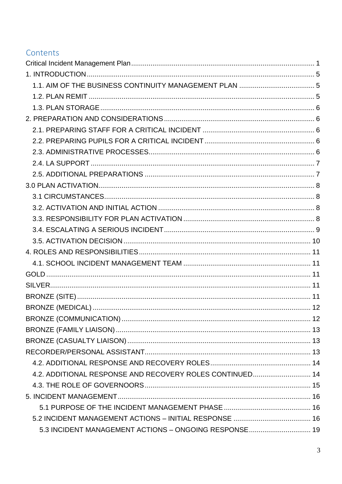# Contents

| 4.2. ADDITIONAL RESPONSE AND RECOVERY ROLES CONTINUED 14 |  |
|----------------------------------------------------------|--|
|                                                          |  |
|                                                          |  |
|                                                          |  |
|                                                          |  |
| 5.3 INCIDENT MANAGEMENT ACTIONS - ONGOING RESPONSE 19    |  |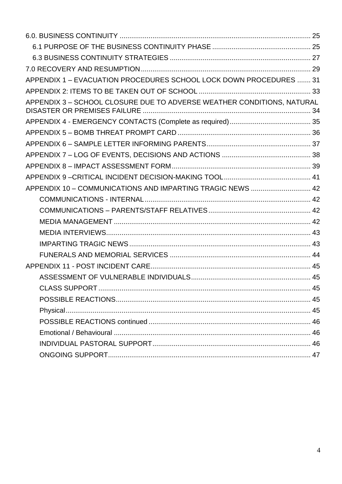| APPENDIX 1 - EVACUATION PROCEDURES SCHOOL LOCK DOWN PROCEDURES  31     |  |
|------------------------------------------------------------------------|--|
|                                                                        |  |
| APPENDIX 3 - SCHOOL CLOSURE DUE TO ADVERSE WEATHER CONDITIONS, NATURAL |  |
|                                                                        |  |
|                                                                        |  |
|                                                                        |  |
|                                                                        |  |
|                                                                        |  |
|                                                                        |  |
| APPENDIX 10 - COMMUNICATIONS AND IMPARTING TRAGIC NEWS  42             |  |
|                                                                        |  |
|                                                                        |  |
|                                                                        |  |
|                                                                        |  |
|                                                                        |  |
|                                                                        |  |
|                                                                        |  |
|                                                                        |  |
|                                                                        |  |
|                                                                        |  |
| Physical                                                               |  |
|                                                                        |  |
|                                                                        |  |
|                                                                        |  |
|                                                                        |  |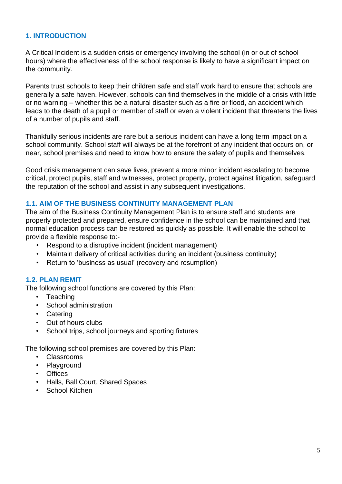### <span id="page-4-0"></span>**1. INTRODUCTION**

A Critical Incident is a sudden crisis or emergency involving the school (in or out of school hours) where the effectiveness of the school response is likely to have a significant impact on the community.

Parents trust schools to keep their children safe and staff work hard to ensure that schools are generally a safe haven. However, schools can find themselves in the middle of a crisis with little or no warning – whether this be a natural disaster such as a fire or flood, an accident which leads to the death of a pupil or member of staff or even a violent incident that threatens the lives of a number of pupils and staff.

Thankfully serious incidents are rare but a serious incident can have a long term impact on a school community. School staff will always be at the forefront of any incident that occurs on, or near, school premises and need to know how to ensure the safety of pupils and themselves.

Good crisis management can save lives, prevent a more minor incident escalating to become critical, protect pupils, staff and witnesses, protect property, protect against litigation, safeguard the reputation of the school and assist in any subsequent investigations.

#### <span id="page-4-1"></span>**1.1. AIM OF THE BUSINESS CONTINUITY MANAGEMENT PLAN**

The aim of the Business Continuity Management Plan is to ensure staff and students are properly protected and prepared, ensure confidence in the school can be maintained and that normal education process can be restored as quickly as possible. It will enable the school to provide a flexible response to:-

- Respond to a disruptive incident (incident management)
- Maintain delivery of critical activities during an incident (business continuity)
- Return to 'business as usual' (recovery and resumption)

#### <span id="page-4-2"></span>**1.2. PLAN REMIT**

The following school functions are covered by this Plan:

- **Teaching**
- School administration
- Catering
- Out of hours clubs
- School trips, school journeys and sporting fixtures

The following school premises are covered by this Plan:

- Classrooms
- Playground
- Offices
- Halls, Ball Court, Shared Spaces
- School Kitchen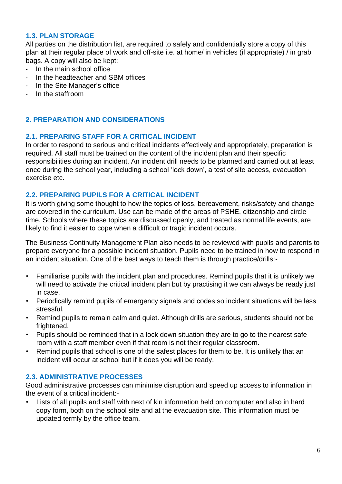### <span id="page-5-0"></span>**1.3. PLAN STORAGE**

All parties on the distribution list, are required to safely and confidentially store a copy of this plan at their regular place of work and off-site i.e. at home/ in vehicles (if appropriate) / in grab bags. A copy will also be kept:

- In the main school office
- In the headteacher and SBM offices
- In the Site Manager's office
- In the staffroom

### <span id="page-5-1"></span>**2. PREPARATION AND CONSIDERATIONS**

#### <span id="page-5-2"></span>**2.1. PREPARING STAFF FOR A CRITICAL INCIDENT**

In order to respond to serious and critical incidents effectively and appropriately, preparation is required. All staff must be trained on the content of the incident plan and their specific responsibilities during an incident. An incident drill needs to be planned and carried out at least once during the school year, including a school 'lock down', a test of site access, evacuation exercise etc.

#### <span id="page-5-3"></span>**2.2. PREPARING PUPILS FOR A CRITICAL INCIDENT**

It is worth giving some thought to how the topics of loss, bereavement, risks/safety and change are covered in the curriculum. Use can be made of the areas of PSHE, citizenship and circle time. Schools where these topics are discussed openly, and treated as normal life events, are likely to find it easier to cope when a difficult or tragic incident occurs.

The Business Continuity Management Plan also needs to be reviewed with pupils and parents to prepare everyone for a possible incident situation. Pupils need to be trained in how to respond in an incident situation. One of the best ways to teach them is through practice/drills:-

- Familiarise pupils with the incident plan and procedures. Remind pupils that it is unlikely we will need to activate the critical incident plan but by practising it we can always be ready just in case.
- Periodically remind pupils of emergency signals and codes so incident situations will be less stressful.
- Remind pupils to remain calm and quiet. Although drills are serious, students should not be frightened.
- Pupils should be reminded that in a lock down situation they are to go to the nearest safe room with a staff member even if that room is not their regular classroom.
- Remind pupils that school is one of the safest places for them to be. It is unlikely that an incident will occur at school but if it does you will be ready.

### <span id="page-5-4"></span>**2.3. ADMINISTRATIVE PROCESSES**

Good administrative processes can minimise disruption and speed up access to information in the event of a critical incident:-

Lists of all pupils and staff with next of kin information held on computer and also in hard copy form, both on the school site and at the evacuation site. This information must be updated termly by the office team.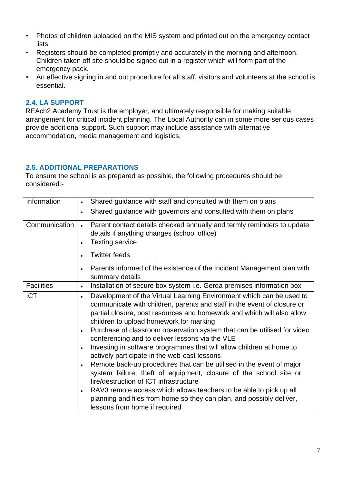- Photos of children uploaded on the MIS system and printed out on the emergency contact lists.
- Registers should be completed promptly and accurately in the morning and afternoon. Children taken off site should be signed out in a register which will form part of the emergency pack.
- An effective signing in and out procedure for all staff, visitors and volunteers at the school is essential.

# <span id="page-6-0"></span>**2.4. LA SUPPORT**

REAch2 Academy Trust is the employer, and ultimately responsible for making suitable arrangement for critical incident planning. The Local Authority can in some more serious cases provide additional support. Such support may include assistance with alternative accommodation, media management and logistics.

# <span id="page-6-1"></span>**2.5. ADDITIONAL PREPARATIONS**

To ensure the school is as prepared as possible, the following procedures should be considered:-

| Information       | Shared guidance with staff and consulted with them on plans<br>$\bullet$                                                                                                                                                                                                                                                                                                                                                                                                                                                                                                                                                                                                                                                                                                                                                                                                                                                                                          |
|-------------------|-------------------------------------------------------------------------------------------------------------------------------------------------------------------------------------------------------------------------------------------------------------------------------------------------------------------------------------------------------------------------------------------------------------------------------------------------------------------------------------------------------------------------------------------------------------------------------------------------------------------------------------------------------------------------------------------------------------------------------------------------------------------------------------------------------------------------------------------------------------------------------------------------------------------------------------------------------------------|
|                   | Shared guidance with governors and consulted with them on plans<br>$\bullet$                                                                                                                                                                                                                                                                                                                                                                                                                                                                                                                                                                                                                                                                                                                                                                                                                                                                                      |
| Communication     | Parent contact details checked annually and termly reminders to update<br>$\bullet$<br>details if anything changes (school office)<br><b>Texting service</b><br><b>Twitter feeds</b><br>Parents informed of the existence of the Incident Management plan with<br>summary details                                                                                                                                                                                                                                                                                                                                                                                                                                                                                                                                                                                                                                                                                 |
| <b>Facilities</b> | Installation of secure box system i.e. Gerda premises information box<br>$\bullet$                                                                                                                                                                                                                                                                                                                                                                                                                                                                                                                                                                                                                                                                                                                                                                                                                                                                                |
| <b>ICT</b>        | Development of the Virtual Learning Environment which can be used to<br>$\bullet$<br>communicate with children, parents and staff in the event of closure or<br>partial closure, post resources and homework and which will also allow<br>children to upload homework for marking<br>Purchase of classroom observation system that can be utilised for video<br>$\bullet$<br>conferencing and to deliver lessons via the VLE<br>Investing in software programmes that will allow children at home to<br>$\bullet$<br>actively participate in the web-cast lessons<br>Remote back-up procedures that can be utilised in the event of major<br>$\bullet$<br>system failure, theft of equipment, closure of the school site or<br>fire/destruction of ICT infrastructure<br>RAV3 remote access which allows teachers to be able to pick up all<br>$\bullet$<br>planning and files from home so they can plan, and possibly deliver,<br>lessons from home if required |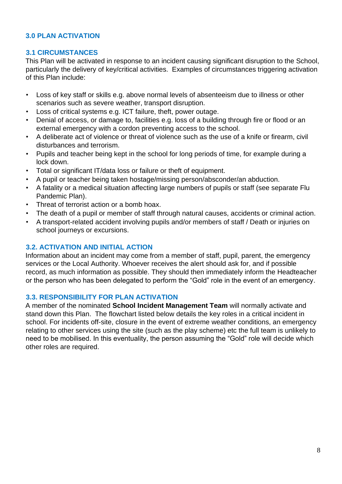### <span id="page-7-0"></span>**3.0 PLAN ACTIVATION**

#### <span id="page-7-1"></span>**3.1 CIRCUMSTANCES**

This Plan will be activated in response to an incident causing significant disruption to the School, particularly the delivery of key/critical activities. Examples of circumstances triggering activation of this Plan include:

- Loss of key staff or skills e.g. above normal levels of absenteeism due to illness or other scenarios such as severe weather, transport disruption.
- Loss of critical systems e.g. ICT failure, theft, power outage.
- Denial of access, or damage to, facilities e.g. loss of a building through fire or flood or an external emergency with a cordon preventing access to the school.
- A deliberate act of violence or threat of violence such as the use of a knife or firearm, civil disturbances and terrorism.
- Pupils and teacher being kept in the school for long periods of time, for example during a lock down.
- Total or significant IT/data loss or failure or theft of equipment.
- A pupil or teacher being taken hostage/missing person/absconder/an abduction.
- A fatality or a medical situation affecting large numbers of pupils or staff (see separate Flu Pandemic Plan).
- Threat of terrorist action or a bomb hoax.
- The death of a pupil or member of staff through natural causes, accidents or criminal action.
- A transport-related accident involving pupils and/or members of staff / Death or injuries on school journeys or excursions.

#### <span id="page-7-2"></span>**3.2. ACTIVATION AND INITIAL ACTION**

Information about an incident may come from a member of staff, pupil, parent, the emergency services or the Local Authority. Whoever receives the alert should ask for, and if possible record, as much information as possible. They should then immediately inform the Headteacher or the person who has been delegated to perform the "Gold" role in the event of an emergency.

#### <span id="page-7-3"></span>**3.3. RESPONSIBILITY FOR PLAN ACTIVATION**

A member of the nominated **School Incident Management Team** will normally activate and stand down this Plan. The flowchart listed below details the key roles in a critical incident in school. For incidents off-site, closure in the event of extreme weather conditions, an emergency relating to other services using the site (such as the play scheme) etc the full team is unlikely to need to be mobilised. In this eventuality, the person assuming the "Gold" role will decide which other roles are required.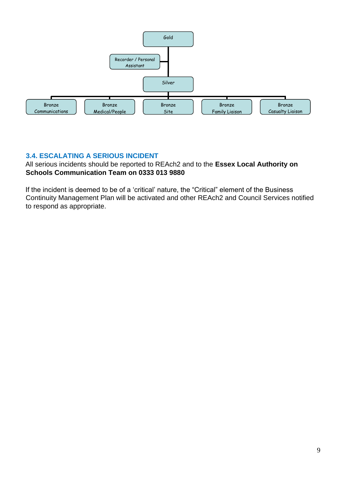

# <span id="page-8-0"></span>**3.4. ESCALATING A SERIOUS INCIDENT**

All serious incidents should be reported to REAch2 and to the **Essex Local Authority on Schools Communication Team on 0333 013 9880**

If the incident is deemed to be of a 'critical' nature, the "Critical" element of the Business Continuity Management Plan will be activated and other REAch2 and Council Services notified to respond as appropriate.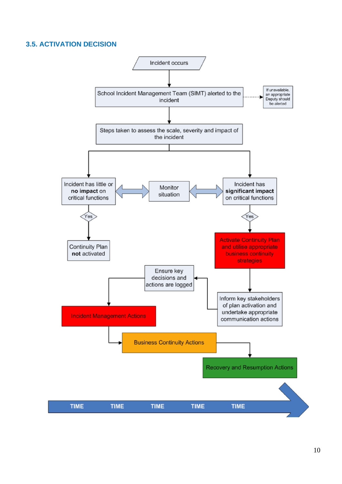### <span id="page-9-0"></span>**3.5. ACTIVATION DECISION**

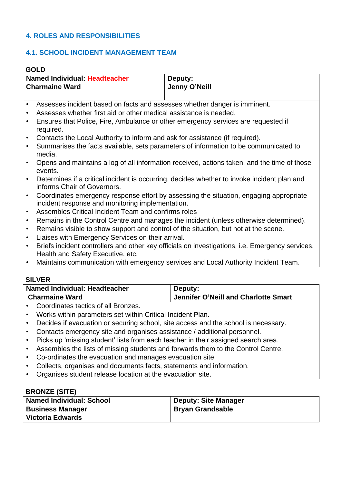# <span id="page-10-0"></span>**4. ROLES AND RESPONSIBILITIES**

### <span id="page-10-1"></span>**4.1. SCHOOL INCIDENT MANAGEMENT TEAM**

#### <span id="page-10-2"></span>**GOLD**

| Named Individual: Headteacher                                                                                                                           |                                                                                    |  |  |
|---------------------------------------------------------------------------------------------------------------------------------------------------------|------------------------------------------------------------------------------------|--|--|
|                                                                                                                                                         | Deputy:                                                                            |  |  |
| <b>Charmaine Ward</b>                                                                                                                                   | Jenny O'Neill                                                                      |  |  |
|                                                                                                                                                         |                                                                                    |  |  |
| Assesses incident based on facts and assesses whether danger is imminent.<br>$\bullet$                                                                  |                                                                                    |  |  |
| Assesses whether first aid or other medical assistance is needed.<br>$\bullet$                                                                          |                                                                                    |  |  |
| Ensures that Police, Fire, Ambulance or other emergency services are requested if<br>$\bullet$<br>required.                                             |                                                                                    |  |  |
| Contacts the Local Authority to inform and ask for assistance (if required).<br>$\bullet$                                                               |                                                                                    |  |  |
| Summarises the facts available, sets parameters of information to be communicated to<br>$\bullet$<br>media.                                             |                                                                                    |  |  |
| Opens and maintains a log of all information received, actions taken, and the time of those<br>$\bullet$<br>events.                                     |                                                                                    |  |  |
| Determines if a critical incident is occurring, decides whether to invoke incident plan and<br>$\bullet$<br>informs Chair of Governors.                 |                                                                                    |  |  |
| Coordinates emergency response effort by assessing the situation, engaging appropriate<br>$\bullet$<br>incident response and monitoring implementation. |                                                                                    |  |  |
| Assembles Critical Incident Team and confirms roles<br>$\bullet$                                                                                        |                                                                                    |  |  |
| Remains in the Control Centre and manages the incident (unless otherwise determined).<br>$\bullet$                                                      |                                                                                    |  |  |
| Remains visible to show support and control of the situation, but not at the scene.<br>$\bullet$                                                        |                                                                                    |  |  |
| Liaises with Emergency Services on their arrival.<br>$\bullet$                                                                                          |                                                                                    |  |  |
| Briefs incident controllers and other key officials on investigations, i.e. Emergency services,<br>$\bullet$                                            |                                                                                    |  |  |
| Health and Safety Executive, etc.                                                                                                                       |                                                                                    |  |  |
| $\bullet$                                                                                                                                               | Maintains communication with emergency services and Local Authority Incident Team. |  |  |
| <b>SILVER</b>                                                                                                                                           |                                                                                    |  |  |

<span id="page-10-3"></span>

| Named Individual: Headteacher | Deputy:                              |
|-------------------------------|--------------------------------------|
| <b>Charmaine Ward</b>         | Jennifer O'Neill and Charlotte Smart |
|                               |                                      |

- Coordinates tactics of all Bronzes.
- Works within parameters set within Critical Incident Plan.
- Decides if evacuation or securing school, site access and the school is necessary.
- Contacts emergency site and organises assistance / additional personnel.
- Picks up 'missing student' lists from each teacher in their assigned search area.
- Assembles the lists of missing students and forwards them to the Control Centre.
- Co-ordinates the evacuation and manages evacuation site.
- Collects, organises and documents facts, statements and information.
- Organises student release location at the evacuation site.

<span id="page-10-4"></span>**BRONZE (SITE)** 

| <b>Bryan Grandsable</b><br><b>Business Manager</b> |  |
|----------------------------------------------------|--|
|                                                    |  |
| <b>Victoria Edwards</b>                            |  |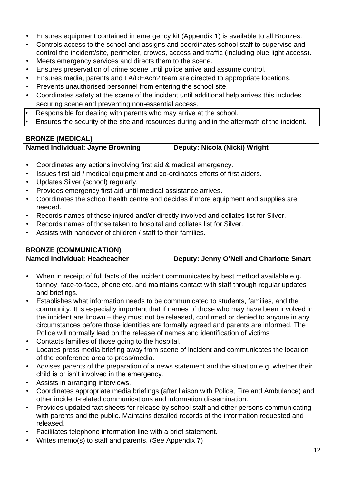- Ensures equipment contained in emergency kit (Appendix 1) is available to all Bronzes.
- Controls access to the school and assigns and coordinates school staff to supervise and control the incident/site, perimeter, crowds, access and traffic (including blue light access).
- Meets emergency services and directs them to the scene.
- Ensures preservation of crime scene until police arrive and assume control.
- Ensures media, parents and LA/REAch2 team are directed to appropriate locations.
- Prevents unauthorised personnel from entering the school site.
- Coordinates safety at the scene of the incident until additional help arrives this includes securing scene and preventing non-essential access.
- Responsible for dealing with parents who may arrive at the school.
- Ensures the security of the site and resources during and in the aftermath of the incident.

# <span id="page-11-0"></span>**BRONZE (MEDICAL)**

| <b>Named Individual: Jayne Browning</b> | Deputy: Nicola (Nicki) Wright |
|-----------------------------------------|-------------------------------|
|                                         |                               |

- Coordinates any actions involving first aid & medical emergency.
- Issues first aid / medical equipment and co-ordinates efforts of first aiders.
- Updates Silver (school) regularly.
- Provides emergency first aid until medical assistance arrives.
- Coordinates the school health centre and decides if more equipment and supplies are needed.
- Records names of those injured and/or directly involved and collates list for Silver.
- Records names of those taken to hospital and collates list for Silver.
- Assists with handover of children / staff to their families.

# <span id="page-11-1"></span>**BRONZE (COMMUNICATION)**

|           | Named Individual: Headteacher                                                                                                                                                                                                                                                                                                                                                                                                                                | Deputy: Jenny O'Neil and Charlotte Smart                                               |  |
|-----------|--------------------------------------------------------------------------------------------------------------------------------------------------------------------------------------------------------------------------------------------------------------------------------------------------------------------------------------------------------------------------------------------------------------------------------------------------------------|----------------------------------------------------------------------------------------|--|
|           | When in receipt of full facts of the incident communicates by best method available e.g.<br>tannoy, face-to-face, phone etc. and maintains contact with staff through regular updates<br>and briefings.                                                                                                                                                                                                                                                      |                                                                                        |  |
|           | Establishes what information needs to be communicated to students, families, and the<br>community. It is especially important that if names of those who may have been involved in<br>the incident are known – they must not be released, confirmed or denied to anyone in any<br>circumstances before those identities are formally agreed and parents are informed. The<br>Police will normally lead on the release of names and identification of victims |                                                                                        |  |
| $\bullet$ | Contacts families of those going to the hospital.                                                                                                                                                                                                                                                                                                                                                                                                            |                                                                                        |  |
|           |                                                                                                                                                                                                                                                                                                                                                                                                                                                              | Locates press media briefing away from scene of incident and communicates the location |  |

- of the conference area to press/media. • Advises parents of the preparation of a news statement and the situation e.g. whether their child is or isn't involved in the emergency.
- Assists in arranging interviews.
- Coordinates appropriate media briefings (after liaison with Police, Fire and Ambulance) and other incident-related communications and information dissemination.
- Provides updated fact sheets for release by school staff and other persons communicating with parents and the public. Maintains detailed records of the information requested and released.
- Facilitates telephone information line with a brief statement.
- Writes memo(s) to staff and parents. (See Appendix 7)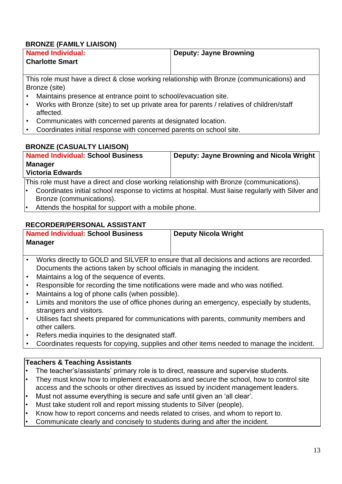# <span id="page-12-0"></span>**BRONZE (FAMILY LIAISON)**

| <b>Named Individual:</b> | Deputy: Jayne Browning |
|--------------------------|------------------------|
| <b>Charlotte Smart</b>   |                        |

This role must have a direct & close working relationship with Bronze (communications) and Bronze (site)

- Maintains presence at entrance point to school/evacuation site.
- Works with Bronze (site) to set up private area for parents / relatives of children/staff affected.
- Communicates with concerned parents at designated location.
- Coordinates initial response with concerned parents on school site.

# <span id="page-12-1"></span>**BRONZE (CASUALTY LIAISON)**

| <b>Named Individual: School Business</b> | Deputy: Jayne Browning and Nicola Wright |
|------------------------------------------|------------------------------------------|
| Manager                                  |                                          |
| <b>Victoria Edwards</b>                  |                                          |

This role must have a direct and close working relationship with Bronze (communications).

- Coordinates initial school response to victims at hospital. Must liaise regularly with Silver and Bronze (communications).
- Attends the hospital for support with a mobile phone.

# <span id="page-12-2"></span>**RECORDER/PERSONAL ASSISTANT**

| Named Individual: School Business<br>Manager | <b>Deputy Nicola Wright</b>                                                              |
|----------------------------------------------|------------------------------------------------------------------------------------------|
|                                              | Works directly to GOLD and SILVER to ensure that all decisions and actions are recorded. |

- Documents the actions taken by school officials in managing the incident.
- Maintains a log of the sequence of events.
- Responsible for recording the time notifications were made and who was notified.
- Maintains a log of phone calls (when possible).
- Limits and monitors the use of office phones during an emergency, especially by students, strangers and visitors.
- Utilises fact sheets prepared for communications with parents, community members and other callers.
- Refers media inquiries to the designated staff.
- Coordinates requests for copying, supplies and other items needed to manage the incident.

# **Teachers & Teaching Assistants**

- The teacher's/assistants' primary role is to direct, reassure and supervise students.
- They must know how to implement evacuations and secure the school, how to control site access and the schools or other directives as issued by incident management leaders.
- Must not assume everything is secure and safe until given an 'all clear'.
- Must take student roll and report missing students to Silver (people).
- Know how to report concerns and needs related to crises, and whom to report to.
- Communicate clearly and concisely to students during and after the incident.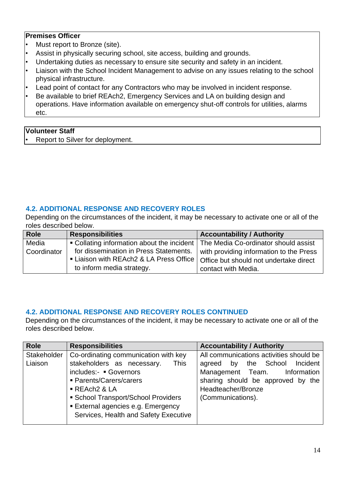### **Premises Officer**

- Must report to Bronze (site).
- Assist in physically securing school, site access, building and grounds.
- Undertaking duties as necessary to ensure site security and safety in an incident.
- Liaison with the School Incident Management to advise on any issues relating to the school physical infrastructure.
- Lead point of contact for any Contractors who may be involved in incident response.
- Be available to brief REAch2, Emergency Services and LA on building design and operations. Have information available on emergency shut-off controls for utilities, alarms etc.

**Volunteer Staff**  Report to Silver for deployment.

# <span id="page-13-0"></span>**4.2. ADDITIONAL RESPONSE AND RECOVERY ROLES**

Depending on the circumstances of the incident, it may be necessary to activate one or all of the roles described below.

| <b>Role</b> | <b>Responsibilities</b>                                                           | <b>Accountability / Authority</b>       |
|-------------|-----------------------------------------------------------------------------------|-----------------------------------------|
| Media       | • Collating information about the incident   The Media Co-ordinator should assist |                                         |
| Coordinator | for dissemination in Press Statements.                                            | with providing information to the Press |
|             | ■ Liaison with REAch2 & LA Press Office                                           | Office but should not undertake direct  |
|             | to inform media strategy.                                                         | contact with Media.                     |

# <span id="page-13-1"></span>**4.2. ADDITIONAL RESPONSE AND RECOVERY ROLES CONTINUED**

Depending on the circumstances of the incident, it may be necessary to activate one or all of the roles described below.

| <b>Role</b> | <b>Responsibilities</b>                 | <b>Accountability / Authority</b>       |
|-------------|-----------------------------------------|-----------------------------------------|
| Stakeholder | Co-ordinating communication with key    | All communications activities should be |
| Liaison     | stakeholders as necessary.<br>This      | agreed by the School<br>Incident        |
|             | includes:- Governors                    | Management Team. Information            |
|             | • Parents/Carers/carers                 | sharing should be approved by the       |
|             | $\blacksquare$ REAch2 & LA              | Headteacher/Bronze                      |
|             | • School Transport/School Providers     | (Communications).                       |
|             | <b>External agencies e.g. Emergency</b> |                                         |
|             | Services, Health and Safety Executive   |                                         |
|             |                                         |                                         |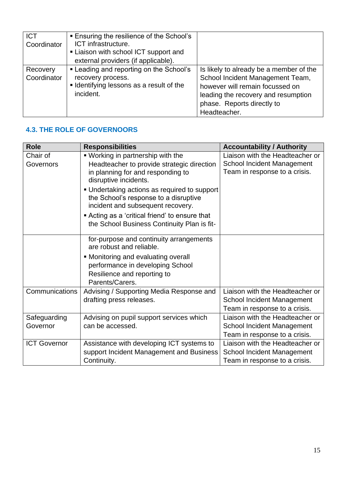| <b>ICT</b><br>Coordinator | ■ Ensuring the resilience of the School's<br>ICT infrastructure.<br>• Liaison with school ICT support and<br>external providers (if applicable). |                                                                                                                                                                                                     |
|---------------------------|--------------------------------------------------------------------------------------------------------------------------------------------------|-----------------------------------------------------------------------------------------------------------------------------------------------------------------------------------------------------|
| Recovery<br>Coordinator   | • Leading and reporting on the School's<br>recovery process.<br>• Identifying lessons as a result of the<br>incident.                            | Is likely to already be a member of the<br>School Incident Management Team,<br>however will remain focussed on<br>leading the recovery and resumption<br>phase. Reports directly to<br>Headteacher. |

# <span id="page-14-0"></span>**4.3. THE ROLE OF GOVERNOORS**

| <b>Role</b>           | <b>Responsibilities</b>                                                                                                                       | <b>Accountability / Authority</b>                                                                     |
|-----------------------|-----------------------------------------------------------------------------------------------------------------------------------------------|-------------------------------------------------------------------------------------------------------|
| Chair of<br>Governors | • Working in partnership with the<br>Headteacher to provide strategic direction<br>in planning for and responding to<br>disruptive incidents. | Liaison with the Headteacher or<br>School Incident Management<br>Team in response to a crisis.        |
|                       | • Undertaking actions as required to support<br>the School's response to a disruptive<br>incident and subsequent recovery.                    |                                                                                                       |
|                       | ■ Acting as a 'critical friend' to ensure that<br>the School Business Continuity Plan is fit-                                                 |                                                                                                       |
|                       | for-purpose and continuity arrangements<br>are robust and reliable.                                                                           |                                                                                                       |
|                       | • Monitoring and evaluating overall<br>performance in developing School<br>Resilience and reporting to<br>Parents/Carers.                     |                                                                                                       |
| Communications        | Advising / Supporting Media Response and<br>drafting press releases.                                                                          | Liaison with the Headteacher or<br><b>School Incident Management</b><br>Team in response to a crisis. |
| Safeguarding          | Advising on pupil support services which                                                                                                      | Liaison with the Headteacher or                                                                       |
| Governor              | can be accessed.                                                                                                                              | <b>School Incident Management</b><br>Team in response to a crisis.                                    |
| <b>ICT Governor</b>   | Assistance with developing ICT systems to                                                                                                     | Liaison with the Headteacher or                                                                       |
|                       | support Incident Management and Business<br>Continuity.                                                                                       | <b>School Incident Management</b><br>Team in response to a crisis.                                    |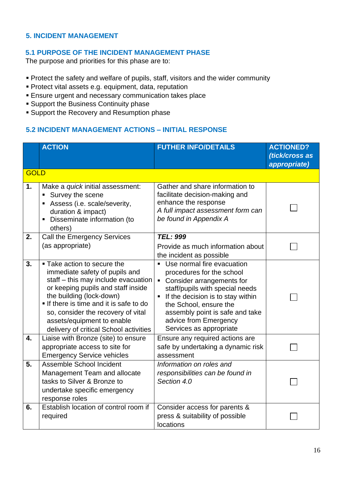# <span id="page-15-0"></span>**5. INCIDENT MANAGEMENT**

#### <span id="page-15-1"></span>**5.1 PURPOSE OF THE INCIDENT MANAGEMENT PHASE**

The purpose and priorities for this phase are to:

- Protect the safety and welfare of pupils, staff, visitors and the wider community
- Protect vital assets e.g. equipment, data, reputation
- **Ensure urgent and necessary communication takes place**
- Support the Business Continuity phase
- **Example 1** Support the Recovery and Resumption phase

# <span id="page-15-2"></span>**5.2 INCIDENT MANAGEMENT ACTIONS – INITIAL RESPONSE**

|             | <b>ACTION</b>                                                                                                                                                                                                                                                                                                                 | <b>FUTHER INFO/DETAILS</b>                                                                                                                                                                                                                                                           | <b>ACTIONED?</b><br>(tick/cross as |
|-------------|-------------------------------------------------------------------------------------------------------------------------------------------------------------------------------------------------------------------------------------------------------------------------------------------------------------------------------|--------------------------------------------------------------------------------------------------------------------------------------------------------------------------------------------------------------------------------------------------------------------------------------|------------------------------------|
|             |                                                                                                                                                                                                                                                                                                                               |                                                                                                                                                                                                                                                                                      | appropriate)                       |
| <b>GOLD</b> |                                                                                                                                                                                                                                                                                                                               |                                                                                                                                                                                                                                                                                      |                                    |
| 1.          | Make a <i>quick</i> initial assessment:<br>Survey the scene<br>Assess (i.e. scale/severity,<br>duration & impact)<br>Disseminate information (to<br>п<br>others)                                                                                                                                                              | Gather and share information to<br>facilitate decision-making and<br>enhance the response<br>A full impact assessment form can<br>be found in Appendix A                                                                                                                             |                                    |
| 2.          | Call the Emergency Services<br>(as appropriate)                                                                                                                                                                                                                                                                               | <b>TEL: 999</b><br>Provide as much information about<br>the incident as possible                                                                                                                                                                                                     |                                    |
| 3.          | • Take action to secure the<br>immediate safety of pupils and<br>staff – this may include evacuation<br>or keeping pupils and staff inside<br>the building (lock-down)<br>If there is time and it is safe to do<br>so, consider the recovery of vital<br>assets/equipment to enable<br>delivery of critical School activities | • Use normal fire evacuation<br>procedures for the school<br>Consider arrangements for<br>Ξ<br>staff/pupils with special needs<br>If the decision is to stay within<br>the School, ensure the<br>assembly point is safe and take<br>advice from Emergency<br>Services as appropriate |                                    |
| 4.          | Liaise with Bronze (site) to ensure<br>appropriate access to site for<br><b>Emergency Service vehicles</b>                                                                                                                                                                                                                    | Ensure any required actions are<br>safe by undertaking a dynamic risk<br>assessment                                                                                                                                                                                                  |                                    |
| 5.          | Assemble School Incident<br>Management Team and allocate<br>tasks to Silver & Bronze to<br>undertake specific emergency<br>response roles                                                                                                                                                                                     | Information on roles and<br>responsibilities can be found in<br>Section 4.0                                                                                                                                                                                                          |                                    |
| 6.          | Establish location of control room if<br>required                                                                                                                                                                                                                                                                             | Consider access for parents &<br>press & suitability of possible<br>locations                                                                                                                                                                                                        |                                    |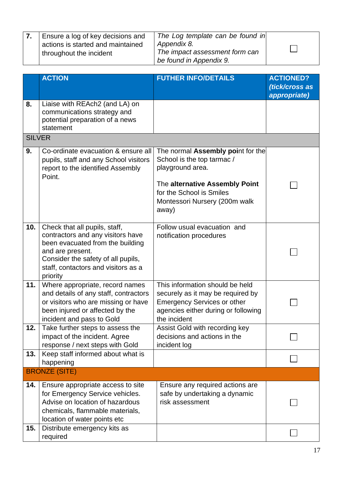| Ensure a log of key decisions and | The Log template can be found in |  |
|-----------------------------------|----------------------------------|--|
| actions is started and maintained | Appendix 8.                      |  |
| throughout the incident           | The impact assessment form can   |  |
|                                   | be found in Appendix 9.          |  |

|               | <b>ACTION</b>                                                                                                                                                                                                       | <b>FUTHER INFO/DETAILS</b>                                                                                                                                                                  | <b>ACTIONED?</b> |
|---------------|---------------------------------------------------------------------------------------------------------------------------------------------------------------------------------------------------------------------|---------------------------------------------------------------------------------------------------------------------------------------------------------------------------------------------|------------------|
|               |                                                                                                                                                                                                                     |                                                                                                                                                                                             | (tick/cross as   |
|               |                                                                                                                                                                                                                     |                                                                                                                                                                                             | appropriate)     |
| 8.            | Liaise with REAch2 (and LA) on<br>communications strategy and<br>potential preparation of a news<br>statement                                                                                                       |                                                                                                                                                                                             |                  |
| <b>SILVER</b> |                                                                                                                                                                                                                     |                                                                                                                                                                                             |                  |
| 9.            | Co-ordinate evacuation & ensure all<br>pupils, staff and any School visitors<br>report to the identified Assembly<br>Point.                                                                                         | The normal Assembly point for the<br>School is the top tarmac /<br>playground area.<br>The alternative Assembly Point<br>for the School is Smiles<br>Montessori Nursery (200m walk<br>away) |                  |
| 10.           | Check that all pupils, staff,<br>contractors and any visitors have<br>been evacuated from the building<br>and are present.<br>Consider the safety of all pupils,<br>staff, contactors and visitors as a<br>priority | Follow usual evacuation and<br>notification procedures                                                                                                                                      |                  |
| 11.           | Where appropriate, record names<br>and details of any staff, contractors<br>or visitors who are missing or have<br>been injured or affected by the<br>incident and pass to Gold                                     | This information should be held<br>securely as it may be required by<br><b>Emergency Services or other</b><br>agencies either during or following<br>the incident                           |                  |
| 12.           | Take further steps to assess the<br>impact of the incident. Agree<br>response / next steps with Gold                                                                                                                | Assist Gold with recording key<br>decisions and actions in the<br>incident log                                                                                                              |                  |
| 13.           | Keep staff informed about what is<br>happening                                                                                                                                                                      |                                                                                                                                                                                             |                  |
|               | <b>BRONZE (SITE)</b>                                                                                                                                                                                                |                                                                                                                                                                                             |                  |
| 14.           | Ensure appropriate access to site                                                                                                                                                                                   | Ensure any required actions are                                                                                                                                                             |                  |
|               | for Emergency Service vehicles.<br>Advise on location of hazardous<br>chemicals, flammable materials,<br>location of water points etc                                                                               | safe by undertaking a dynamic<br>risk assessment                                                                                                                                            |                  |
| 15.           | Distribute emergency kits as<br>required                                                                                                                                                                            |                                                                                                                                                                                             |                  |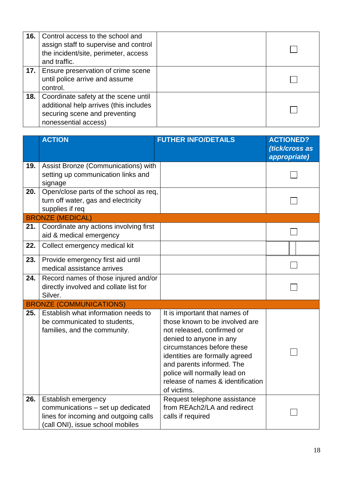| 16. | Control access to the school and<br>assign staff to supervise and control<br>the incident/site, perimeter, access<br>and traffic.       |  |
|-----|-----------------------------------------------------------------------------------------------------------------------------------------|--|
| 17. | Ensure preservation of crime scene<br>until police arrive and assume<br>control.                                                        |  |
| 18. | Coordinate safety at the scene until<br>additional help arrives (this includes<br>securing scene and preventing<br>nonessential access) |  |

|     | <b>ACTION</b>                                                                                                                         | <b>FUTHER INFO/DETAILS</b>                                                                                                                                                                                                                                                                                | <b>ACTIONED?</b><br>(tick/cross as<br>appropriate) |
|-----|---------------------------------------------------------------------------------------------------------------------------------------|-----------------------------------------------------------------------------------------------------------------------------------------------------------------------------------------------------------------------------------------------------------------------------------------------------------|----------------------------------------------------|
| 19. | Assist Bronze (Communications) with<br>setting up communication links and<br>signage                                                  |                                                                                                                                                                                                                                                                                                           |                                                    |
| 20. | Open/close parts of the school as req,<br>turn off water, gas and electricity<br>supplies if req                                      |                                                                                                                                                                                                                                                                                                           |                                                    |
|     | <b>BRONZE (MEDICAL)</b>                                                                                                               |                                                                                                                                                                                                                                                                                                           |                                                    |
| 21. | Coordinate any actions involving first<br>aid & medical emergency                                                                     |                                                                                                                                                                                                                                                                                                           |                                                    |
| 22. | Collect emergency medical kit                                                                                                         |                                                                                                                                                                                                                                                                                                           |                                                    |
| 23. | Provide emergency first aid until<br>medical assistance arrives                                                                       |                                                                                                                                                                                                                                                                                                           |                                                    |
| 24. | Record names of those injured and/or<br>directly involved and collate list for<br>Silver.                                             |                                                                                                                                                                                                                                                                                                           |                                                    |
|     | <b>BRONZE (COMMUNICATIONS)</b>                                                                                                        |                                                                                                                                                                                                                                                                                                           |                                                    |
| 25. | Establish what information needs to<br>be communicated to students,<br>families, and the community.                                   | It is important that names of<br>those known to be involved are<br>not released, confirmed or<br>denied to anyone in any<br>circumstances before these<br>identities are formally agreed<br>and parents informed. The<br>police will normally lead on<br>release of names & identification<br>of victims. |                                                    |
| 26. | Establish emergency<br>communications - set up dedicated<br>lines for incoming and outgoing calls<br>(call ONI), issue school mobiles | Request telephone assistance<br>from REAch2/LA and redirect<br>calls if required                                                                                                                                                                                                                          |                                                    |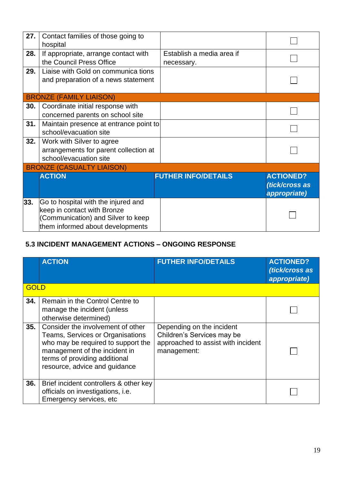| 27. | Contact families of those going to<br>hospital                                                                                               |                                         |                                                    |
|-----|----------------------------------------------------------------------------------------------------------------------------------------------|-----------------------------------------|----------------------------------------------------|
| 28. | If appropriate, arrange contact with<br>the Council Press Office                                                                             | Establish a media area if<br>necessary. |                                                    |
| 29. | Liaise with Gold on communica tions<br>and preparation of a news statement                                                                   |                                         |                                                    |
|     | <b>BRONZE (FAMILY LIAISON)</b>                                                                                                               |                                         |                                                    |
| 30. | Coordinate initial response with<br>concerned parents on school site                                                                         |                                         |                                                    |
| 31. | Maintain presence at entrance point to<br>school/evacuation site                                                                             |                                         |                                                    |
| 32. | Work with Silver to agree<br>arrangements for parent collection at<br>school/evacuation site                                                 |                                         |                                                    |
|     | <b>BRONZE (CASUALTY LIAISON)</b>                                                                                                             |                                         |                                                    |
|     | <b>ACTION</b>                                                                                                                                | <b>FUTHER INFO/DETAILS</b>              | <b>ACTIONED?</b><br>(tick/cross as<br>appropriate) |
| 33. | Go to hospital with the injured and<br>keep in contact with Bronze<br>(Communication) and Silver to keep<br>them informed about developments |                                         |                                                    |

# <span id="page-18-0"></span>**5.3 INCIDENT MANAGEMENT ACTIONS – ONGOING RESPONSE**

|             | <b>ACTION</b>                                                                                                                                                                                                  | <b>FUTHER INFO/DETAILS</b>                                                                                   | <b>ACTIONED?</b><br>(tick/cross as<br>appropriate) |
|-------------|----------------------------------------------------------------------------------------------------------------------------------------------------------------------------------------------------------------|--------------------------------------------------------------------------------------------------------------|----------------------------------------------------|
| <b>GOLD</b> |                                                                                                                                                                                                                |                                                                                                              |                                                    |
| 34.         | Remain in the Control Centre to<br>manage the incident (unless<br>otherwise determined)                                                                                                                        |                                                                                                              |                                                    |
| 35.         | Consider the involvement of other<br>Teams, Services or Organisations<br>who may be required to support the<br>management of the incident in<br>terms of providing additional<br>resource, advice and guidance | Depending on the incident<br>Children's Services may be<br>approached to assist with incident<br>management: |                                                    |
| 36.         | Brief incident controllers & other key<br>officials on investigations, i.e.<br>Emergency services, etc                                                                                                         |                                                                                                              |                                                    |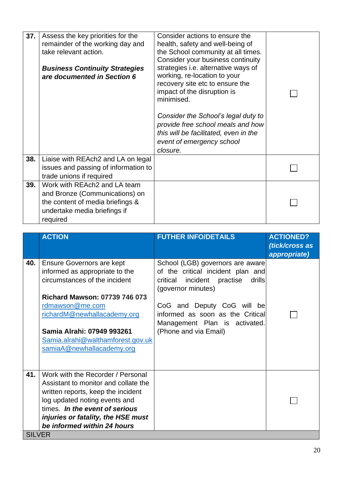| 37. | Assess the key priorities for the<br>remainder of the working day and<br>take relevant action.<br><b>Business Continuity Strategies</b><br>are documented in Section 6 | Consider actions to ensure the<br>health, safety and well-being of<br>the School community at all times.<br>Consider your business continuity<br>strategies i.e. alternative ways of<br>working, re-location to your<br>recovery site etc to ensure the<br>impact of the disruption is<br>minimised.<br>Consider the School's legal duty to<br>provide free school meals and how<br>this will be facilitated, even in the<br>event of emergency school<br>closure. |  |
|-----|------------------------------------------------------------------------------------------------------------------------------------------------------------------------|--------------------------------------------------------------------------------------------------------------------------------------------------------------------------------------------------------------------------------------------------------------------------------------------------------------------------------------------------------------------------------------------------------------------------------------------------------------------|--|
| 38. | Liaise with REAch2 and LA on legal<br>issues and passing of information to<br>trade unions if required                                                                 |                                                                                                                                                                                                                                                                                                                                                                                                                                                                    |  |
| 39. | Work with REAch2 and LA team<br>and Bronze (Communications) on<br>the content of media briefings &<br>undertake media briefings if<br>required                         |                                                                                                                                                                                                                                                                                                                                                                                                                                                                    |  |

|                      | <b>ACTION</b>                                                                                                                                                                                                                                                                                 | <b>FUTHER INFO/DETAILS</b>                                                                                                                                                                                                                                      | <b>ACTIONED?</b><br>(tick/cross as<br>appropriate) |
|----------------------|-----------------------------------------------------------------------------------------------------------------------------------------------------------------------------------------------------------------------------------------------------------------------------------------------|-----------------------------------------------------------------------------------------------------------------------------------------------------------------------------------------------------------------------------------------------------------------|----------------------------------------------------|
| 40.                  | <b>Ensure Governors are kept</b><br>informed as appropriate to the<br>circumstances of the incident<br><b>Richard Mawson: 07739 746 073</b><br>rdmawson@me.com<br>richardM@newhallacademy.org<br>Samia Alrahi: 07949 993261<br>Samia.alrahi@walthamforest.gov.uk<br>samiaA@newhallacademy.org | School (LGB) governors are aware<br>of the critical incident plan and<br>critical incident practise<br>drills<br>(governor minutes)<br>CoG and Deputy CoG will be<br>informed as soon as the Critical<br>Management Plan is activated.<br>(Phone and via Email) |                                                    |
| 41.<br><b>SILVER</b> | Work with the Recorder / Personal<br>Assistant to monitor and collate the<br>written reports, keep the incident<br>log updated noting events and<br>times. In the event of serious<br>injuries or fatality, the HSE must<br>be informed within 24 hours                                       |                                                                                                                                                                                                                                                                 |                                                    |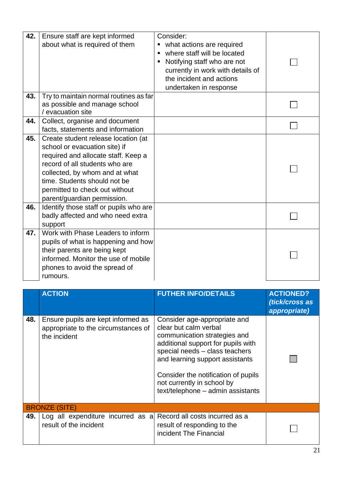|     | <b>ACTION</b>                                                                                                                                                                                                                                                                    | <b>FUTHER INFO/DETAILS</b>                                                                                                                                                                                | <b>ACTIONED?</b><br>(tick/cross as |
|-----|----------------------------------------------------------------------------------------------------------------------------------------------------------------------------------------------------------------------------------------------------------------------------------|-----------------------------------------------------------------------------------------------------------------------------------------------------------------------------------------------------------|------------------------------------|
|     |                                                                                                                                                                                                                                                                                  |                                                                                                                                                                                                           |                                    |
| 47. | Work with Phase Leaders to inform<br>pupils of what is happening and how<br>their parents are being kept<br>informed. Monitor the use of mobile<br>phones to avoid the spread of<br>rumours.                                                                                     |                                                                                                                                                                                                           |                                    |
| 46. | Identify those staff or pupils who are<br>badly affected and who need extra<br>support                                                                                                                                                                                           |                                                                                                                                                                                                           |                                    |
| 45. | Create student release location (at<br>school or evacuation site) if<br>required and allocate staff. Keep a<br>record of all students who are<br>collected, by whom and at what<br>time. Students should not be<br>permitted to check out without<br>parent/guardian permission. |                                                                                                                                                                                                           |                                    |
| 44. | Collect, organise and document<br>facts, statements and information                                                                                                                                                                                                              |                                                                                                                                                                                                           |                                    |
| 43. | Try to maintain normal routines as far<br>as possible and manage school<br>/ evacuation site                                                                                                                                                                                     |                                                                                                                                                                                                           |                                    |
| 42. | Ensure staff are kept informed<br>about what is required of them                                                                                                                                                                                                                 | Consider:<br>what actions are required<br>where staff will be located<br>٠<br>Notifying staff who are not<br>٠<br>currently in work with details of<br>the incident and actions<br>undertaken in response |                                    |

|     | AVIIVII                                                                                    | <u>I UTILIA INI UIDETAILU</u>                                                                                                                                                                                                                                                                              | AVIIVINLPI.<br>(tick/cross as<br>appropriate) |
|-----|--------------------------------------------------------------------------------------------|------------------------------------------------------------------------------------------------------------------------------------------------------------------------------------------------------------------------------------------------------------------------------------------------------------|-----------------------------------------------|
| 48. | Ensure pupils are kept informed as<br>appropriate to the circumstances of<br>the incident  | Consider age-appropriate and<br>clear but calm verbal<br>communication strategies and<br>additional support for pupils with<br>special needs - class teachers<br>and learning support assistants<br>Consider the notification of pupils<br>not currently in school by<br>text/telephone - admin assistants |                                               |
|     | <b>BRONZE (SITE)</b>                                                                       |                                                                                                                                                                                                                                                                                                            |                                               |
| 49. | Log all expenditure incurred as a Record all costs incurred as a<br>result of the incident | result of responding to the<br>incident The Financial                                                                                                                                                                                                                                                      |                                               |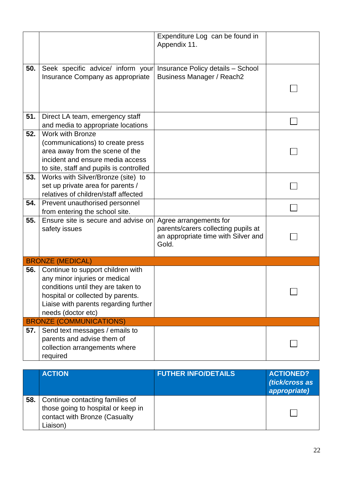|     |                                                                                                                                                                                                              | Expenditure Log can be found in<br>Appendix 11.                                                               |  |
|-----|--------------------------------------------------------------------------------------------------------------------------------------------------------------------------------------------------------------|---------------------------------------------------------------------------------------------------------------|--|
| 50. | Seek specific advice/ inform your<br>Insurance Company as appropriate                                                                                                                                        | Insurance Policy details - School<br><b>Business Manager / Reach2</b>                                         |  |
| 51. | Direct LA team, emergency staff<br>and media to appropriate locations                                                                                                                                        |                                                                                                               |  |
| 52. | <b>Work with Bronze</b><br>(communications) to create press<br>area away from the scene of the<br>incident and ensure media access<br>to site, staff and pupils is controlled                                |                                                                                                               |  |
| 53. | Works with Silver/Bronze (site) to<br>set up private area for parents /<br>relatives of children/staff affected                                                                                              |                                                                                                               |  |
| 54. | Prevent unauthorised personnel<br>from entering the school site.                                                                                                                                             |                                                                                                               |  |
| 55. | Ensure site is secure and advise on<br>safety issues                                                                                                                                                         | Agree arrangements for<br>parents/carers collecting pupils at<br>an appropriate time with Silver and<br>Gold. |  |
|     | <b>BRONZE (MEDICAL)</b>                                                                                                                                                                                      |                                                                                                               |  |
| 56. | Continue to support children with<br>any minor injuries or medical<br>conditions until they are taken to<br>hospital or collected by parents.<br>Liaise with parents regarding further<br>needs (doctor etc) |                                                                                                               |  |
|     | <b>BRONZE (COMMUNICATIONS)</b>                                                                                                                                                                               |                                                                                                               |  |
| 57. | Send text messages / emails to<br>parents and advise them of<br>collection arrangements where<br>required                                                                                                    |                                                                                                               |  |

|     | <b>ACTION</b>                                                                                                      | <b>FUTHER INFO/DETAILS</b> | <b>ACTIONED?</b><br>(tick/cross as<br>appropriate) |
|-----|--------------------------------------------------------------------------------------------------------------------|----------------------------|----------------------------------------------------|
| 58. | Continue contacting families of<br>those going to hospital or keep in<br>contact with Bronze (Casualty<br>Liaison) |                            |                                                    |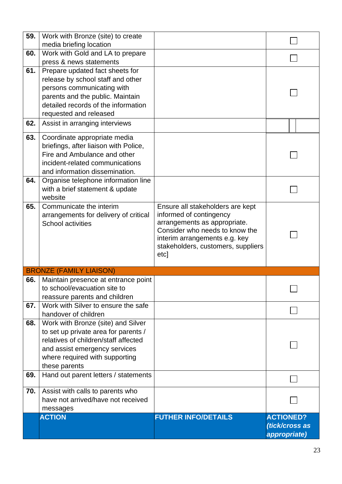| 59. | Work with Bronze (site) to create     |                                                                |                  |
|-----|---------------------------------------|----------------------------------------------------------------|------------------|
|     | media briefing location               |                                                                |                  |
| 60. | Work with Gold and LA to prepare      |                                                                |                  |
|     | press & news statements               |                                                                |                  |
| 61. | Prepare updated fact sheets for       |                                                                |                  |
|     | release by school staff and other     |                                                                |                  |
|     | persons communicating with            |                                                                |                  |
|     | parents and the public. Maintain      |                                                                |                  |
|     | detailed records of the information   |                                                                |                  |
|     | requested and released                |                                                                |                  |
| 62. | Assist in arranging interviews        |                                                                |                  |
| 63. | Coordinate appropriate media          |                                                                |                  |
|     | briefings, after liaison with Police, |                                                                |                  |
|     | Fire and Ambulance and other          |                                                                |                  |
|     | incident-related communications       |                                                                |                  |
|     | and information dissemination.        |                                                                |                  |
| 64. | Organise telephone information line   |                                                                |                  |
|     | with a brief statement & update       |                                                                |                  |
|     | website                               |                                                                |                  |
| 65. | Communicate the interim               | Ensure all stakeholders are kept                               |                  |
|     | arrangements for delivery of critical | informed of contingency                                        |                  |
|     | <b>School activities</b>              | arrangements as appropriate.<br>Consider who needs to know the |                  |
|     |                                       | interim arrangements e.g. key                                  |                  |
|     |                                       | stakeholders, customers, suppliers                             |                  |
|     |                                       | etc]                                                           |                  |
|     |                                       |                                                                |                  |
|     | <b>BRONZE (FAMILY LIAISON)</b>        |                                                                |                  |
| 66. | Maintain presence at entrance point   |                                                                |                  |
|     | to school/evacuation site to          |                                                                |                  |
|     | reassure parents and children         |                                                                |                  |
| 67. | Work with Silver to ensure the safe   |                                                                |                  |
|     | handover of children                  |                                                                |                  |
| 68. | Work with Bronze (site) and Silver    |                                                                |                  |
|     | to set up private area for parents /  |                                                                |                  |
|     | relatives of children/staff affected  |                                                                |                  |
|     | and assist emergency services         |                                                                |                  |
|     | where required with supporting        |                                                                |                  |
|     | these parents                         |                                                                |                  |
| 69. | Hand out parent letters / statements  |                                                                |                  |
| 70. | Assist with calls to parents who      |                                                                |                  |
|     | have not arrived/have not received    |                                                                |                  |
|     | messages                              |                                                                |                  |
|     | <b>ACTION</b>                         | <b>FUTHER INFO/DETAILS</b>                                     | <b>ACTIONED?</b> |
|     |                                       |                                                                | (tick/cross as   |
|     |                                       |                                                                | appropriate)     |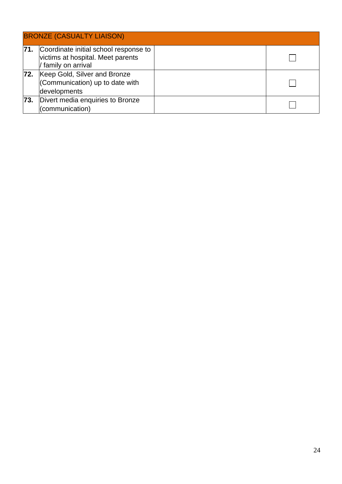|     | <b>BRONZE (CASUALTY LIAISON)</b>                                                                             |  |  |
|-----|--------------------------------------------------------------------------------------------------------------|--|--|
|     | <b>71.</b> Coordinate initial school response to<br>victims at hospital. Meet parents<br>/ family on arrival |  |  |
| 72. | Keep Gold, Silver and Bronze<br>(Communication) up to date with<br>developments                              |  |  |
| 73. | Divert media enquiries to Bronze<br>(communication)                                                          |  |  |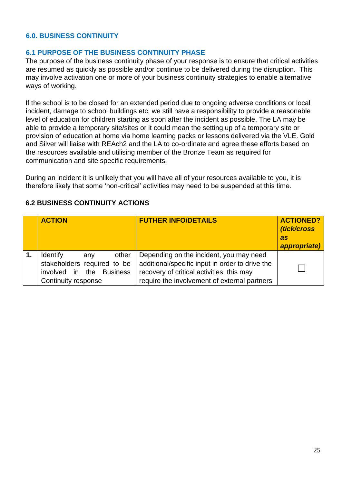#### <span id="page-24-0"></span>**6.0. BUSINESS CONTINUITY**

#### <span id="page-24-1"></span>**6.1 PURPOSE OF THE BUSINESS CONTINUITY PHASE**

The purpose of the business continuity phase of your response is to ensure that critical activities are resumed as quickly as possible and/or continue to be delivered during the disruption. This may involve activation one or more of your business continuity strategies to enable alternative ways of working.

If the school is to be closed for an extended period due to ongoing adverse conditions or local incident, damage to school buildings etc, we still have a responsibility to provide a reasonable level of education for children starting as soon after the incident as possible. The LA may be able to provide a temporary site/sites or it could mean the setting up of a temporary site or provision of education at home via home learning packs or lessons delivered via the VLE. Gold and Silver will liaise with REAch2 and the LA to co-ordinate and agree these efforts based on the resources available and utilising member of the Bronze Team as required for communication and site specific requirements.

During an incident it is unlikely that you will have all of your resources available to you, it is therefore likely that some 'non-critical' activities may need to be suspended at this time.

| <b>6.2 BUSINESS CONTINUITY ACTIONS</b> |  |  |
|----------------------------------------|--|--|
|----------------------------------------|--|--|

| <b>ACTION</b>                                                                                                     | <b>FUTHER INFO/DETAILS</b>                                                                                                                                                              | <b>ACTIONED?</b><br>(tick/cross<br><b>as</b><br>appropriate) |
|-------------------------------------------------------------------------------------------------------------------|-----------------------------------------------------------------------------------------------------------------------------------------------------------------------------------------|--------------------------------------------------------------|
| <b>Identify</b><br>other<br>anv<br>stakeholders required to be<br>involved in the Business<br>Continuity response | Depending on the incident, you may need<br>additional/specific input in order to drive the<br>recovery of critical activities, this may<br>require the involvement of external partners |                                                              |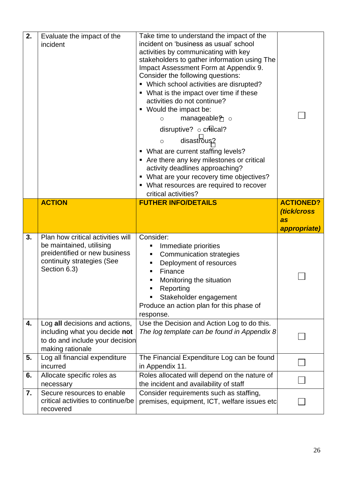| 2. | Evaluate the impact of the<br>incident                                                                                 | Take time to understand the impact of the<br>incident on 'business as usual' school<br>activities by communicating with key<br>stakeholders to gather information using The<br>Impact Assessment Form at Appendix 9.<br>Consider the following questions:<br>• Which school activities are disrupted?<br>• What is the impact over time if these<br>activities do not continue?<br>• Would the impact be:<br>manageable ? o<br>$\circ$<br>disruptive? $\circ$ critical?<br>disastrous?<br>$\circ$<br>• What are current staffing levels?<br>• Are there any key milestones or critical<br>activity deadlines approaching?<br>• What are your recovery time objectives?<br>• What resources are required to recover<br>critical activities? |                                        |
|----|------------------------------------------------------------------------------------------------------------------------|--------------------------------------------------------------------------------------------------------------------------------------------------------------------------------------------------------------------------------------------------------------------------------------------------------------------------------------------------------------------------------------------------------------------------------------------------------------------------------------------------------------------------------------------------------------------------------------------------------------------------------------------------------------------------------------------------------------------------------------------|----------------------------------------|
|    | <b>ACTION</b>                                                                                                          | <b>FUTHER INFO/DETAILS</b>                                                                                                                                                                                                                                                                                                                                                                                                                                                                                                                                                                                                                                                                                                                 | <b>ACTIONED?</b><br><i>(tick/cross</i> |
|    |                                                                                                                        |                                                                                                                                                                                                                                                                                                                                                                                                                                                                                                                                                                                                                                                                                                                                            | as<br>appropriate)                     |
| 3. | Plan how critical activities will<br>be maintained, utilising                                                          | Consider:                                                                                                                                                                                                                                                                                                                                                                                                                                                                                                                                                                                                                                                                                                                                  |                                        |
|    | preidentified or new business<br>continuity strategies (See<br>Section 6.3)                                            | Immediate priorities<br>٠<br><b>Communication strategies</b><br>٠<br>Deployment of resources<br>п<br>Finance<br>٠<br>Monitoring the situation<br>٠<br>Reporting<br>Stakeholder engagement<br>Produce an action plan for this phase of<br>response.                                                                                                                                                                                                                                                                                                                                                                                                                                                                                         |                                        |
| 4. | Log all decisions and actions,<br>including what you decide not<br>to do and include your decision<br>making rationale | Use the Decision and Action Log to do this.<br>The log template can be found in Appendix 8                                                                                                                                                                                                                                                                                                                                                                                                                                                                                                                                                                                                                                                 |                                        |
| 5. | Log all financial expenditure<br>incurred                                                                              | The Financial Expenditure Log can be found<br>in Appendix 11.                                                                                                                                                                                                                                                                                                                                                                                                                                                                                                                                                                                                                                                                              |                                        |
| 6. | Allocate specific roles as<br>necessary                                                                                | Roles allocated will depend on the nature of<br>the incident and availability of staff                                                                                                                                                                                                                                                                                                                                                                                                                                                                                                                                                                                                                                                     |                                        |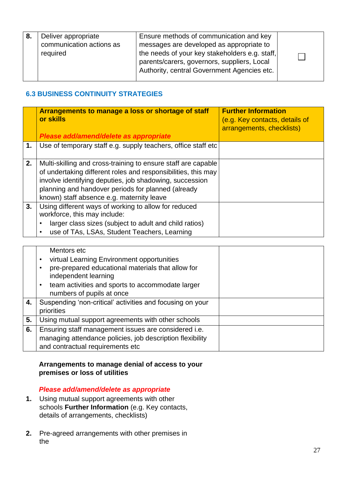| 8. | Deliver appropriate<br>communication actions as<br>required | Ensure methods of communication and key<br>messages are developed as appropriate to<br>the needs of your key stakeholders e.g. staff,<br>parents/carers, governors, suppliers, Local<br>Authority, central Government Agencies etc. |  |
|----|-------------------------------------------------------------|-------------------------------------------------------------------------------------------------------------------------------------------------------------------------------------------------------------------------------------|--|
|    |                                                             |                                                                                                                                                                                                                                     |  |
|    |                                                             |                                                                                                                                                                                                                                     |  |

# <span id="page-26-0"></span>**6.3 BUSINESS CONTINUITY STRATEGIES**

|    | Arrangements to manage a loss or shortage of staff<br>or skills                                                                                                                                                                                                                              | <b>Further Information</b><br>(e.g. Key contacts, details of |
|----|----------------------------------------------------------------------------------------------------------------------------------------------------------------------------------------------------------------------------------------------------------------------------------------------|--------------------------------------------------------------|
|    | Please add/amend/delete as appropriate                                                                                                                                                                                                                                                       | arrangements, checklists)                                    |
| 1. | Use of temporary staff e.g. supply teachers, office staff etc                                                                                                                                                                                                                                |                                                              |
| 2. | Multi-skilling and cross-training to ensure staff are capable<br>of undertaking different roles and responsibilities, this may<br>involve identifying deputies, job shadowing, succession<br>planning and handover periods for planned (already<br>known) staff absence e.g. maternity leave |                                                              |
| 3. | Using different ways of working to allow for reduced<br>workforce, this may include:<br>larger class sizes (subject to adult and child ratios)<br>٠<br>use of TAs, LSAs, Student Teachers, Learning<br>٠                                                                                     |                                                              |

|    | Mentors etc                                                               |  |
|----|---------------------------------------------------------------------------|--|
|    | virtual Learning Environment opportunities<br>٠                           |  |
|    | pre-prepared educational materials that allow for<br>independent learning |  |
|    | team activities and sports to accommodate larger<br>$\bullet$             |  |
|    | numbers of pupils at once                                                 |  |
| 4. | Suspending 'non-critical' activities and focusing on your                 |  |
|    | priorities                                                                |  |
| 5. | Using mutual support agreements with other schools                        |  |
| 6. | Ensuring staff management issues are considered i.e.                      |  |
|    | managing attendance policies, job description flexibility                 |  |
|    | and contractual requirements etc                                          |  |

### **Arrangements to manage denial of access to your premises or loss of utilities**

# *Please add/amend/delete as appropriate*

- **1.** Using mutual support agreements with other schools **Further Information** (e.g. Key contacts, details of arrangements, checklists)
- **2.** Pre-agreed arrangements with other premises in the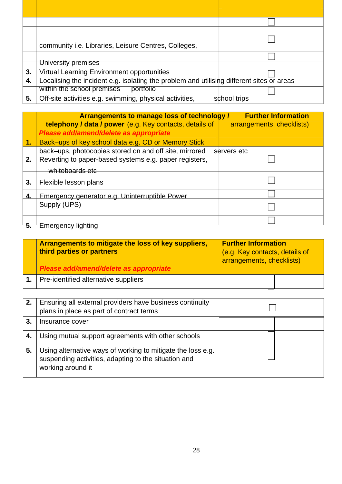|    | community <i>i.e.</i> Libraries, Leisure Centres, Colleges,                               |              |
|----|-------------------------------------------------------------------------------------------|--------------|
|    |                                                                                           |              |
|    | University premises                                                                       |              |
| 3. | Virtual Learning Environment opportunities                                                |              |
| 4. | Localising the incident e.g. isolating the problem and utilising different sites or areas |              |
|    | within the school premises<br>portfolio                                                   |              |
| 5. | Off-site activities e.g. swimming, physical activities,                                   | school trips |

|    | <b>Arrangements to manage loss of technology /</b>      | <b>Further Information</b> |
|----|---------------------------------------------------------|----------------------------|
|    | telephony / data / power (e.g. Key contacts, details of | arrangements, checklists)  |
|    | Please add/amend/delete as appropriate                  |                            |
| 1. | Back-ups of key school data e.g. CD or Memory Stick     |                            |
|    | back-ups, photocopies stored on and off site, mirrored  | servers etc                |
| 2. | Reverting to paper-based systems e.g. paper registers,  |                            |
|    | whiteboards etc                                         |                            |
|    |                                                         |                            |
| 3. | Flexible lesson plans                                   |                            |
|    | Emergency generator e.g. Uninterruptible Power          |                            |
|    | Supply (UPS)                                            |                            |
|    |                                                         |                            |
|    |                                                         |                            |
|    | Emergency lighting                                      |                            |

| Arrangements to mitigate the loss of key suppliers,<br>third parties or partners<br>Please add/amend/delete as appropriate | <b>Further Information</b><br>(e.g. Key contacts, details of<br>arrangements, checklists) |  |
|----------------------------------------------------------------------------------------------------------------------------|-------------------------------------------------------------------------------------------|--|
| Pre-identified alternative suppliers                                                                                       |                                                                                           |  |

| 2. | Ensuring all external providers have business continuity<br>plans in place as part of contract terms                                     |  |
|----|------------------------------------------------------------------------------------------------------------------------------------------|--|
| 3. | Insurance cover                                                                                                                          |  |
| 4. | Using mutual support agreements with other schools                                                                                       |  |
| 5. | Using alternative ways of working to mitigate the loss e.g.<br>suspending activities, adapting to the situation and<br>working around it |  |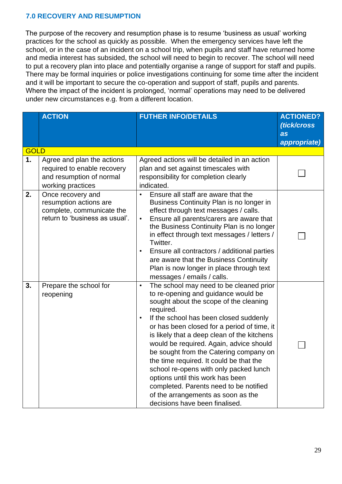# <span id="page-28-0"></span>**7.0 RECOVERY AND RESUMPTION**

The purpose of the recovery and resumption phase is to resume 'business as usual' working practices for the school as quickly as possible. When the emergency services have left the school, or in the case of an incident on a school trip, when pupils and staff have returned home and media interest has subsided, the school will need to begin to recover. The school will need to put a recovery plan into place and potentially organise a range of support for staff and pupils. There may be formal inquiries or police investigations continuing for some time after the incident and it will be important to secure the co-operation and support of staff, pupils and parents. Where the impact of the incident is prolonged, 'normal' operations may need to be delivered under new circumstances e.g. from a different location.

|             | <b>ACTION</b>                                                                                              | <b>FUTHER INFO/DETAILS</b>                                                                                                                                                                                                                                                                                                                                                                                                                                                                                                                                                                                                              | <b>ACTIONED?</b><br>(tick/cross<br>as |
|-------------|------------------------------------------------------------------------------------------------------------|-----------------------------------------------------------------------------------------------------------------------------------------------------------------------------------------------------------------------------------------------------------------------------------------------------------------------------------------------------------------------------------------------------------------------------------------------------------------------------------------------------------------------------------------------------------------------------------------------------------------------------------------|---------------------------------------|
|             |                                                                                                            |                                                                                                                                                                                                                                                                                                                                                                                                                                                                                                                                                                                                                                         | appropriate)                          |
| <b>GOLD</b> |                                                                                                            |                                                                                                                                                                                                                                                                                                                                                                                                                                                                                                                                                                                                                                         |                                       |
| 1.          | Agree and plan the actions<br>required to enable recovery<br>and resumption of normal<br>working practices | Agreed actions will be detailed in an action<br>plan and set against timescales with<br>responsibility for completion clearly<br>indicated.                                                                                                                                                                                                                                                                                                                                                                                                                                                                                             |                                       |
| 2.          | Once recovery and<br>resumption actions are<br>complete, communicate the<br>return to 'business as usual'. | Ensure all staff are aware that the<br>Business Continuity Plan is no longer in<br>effect through text messages / calls.<br>Ensure all parents/carers are aware that<br>$\bullet$<br>the Business Continuity Plan is no longer<br>in effect through text messages / letters /<br>Twitter.<br>Ensure all contractors / additional parties<br>$\bullet$<br>are aware that the Business Continuity<br>Plan is now longer in place through text<br>messages / emails / calls.                                                                                                                                                               |                                       |
| 3.          | Prepare the school for<br>reopening                                                                        | The school may need to be cleaned prior<br>$\bullet$<br>to re-opening and guidance would be<br>sought about the scope of the cleaning<br>required.<br>If the school has been closed suddenly<br>$\bullet$<br>or has been closed for a period of time, it<br>is likely that a deep clean of the kitchens<br>would be required. Again, advice should<br>be sought from the Catering company on<br>the time required. It could be that the<br>school re-opens with only packed lunch<br>options until this work has been<br>completed. Parents need to be notified<br>of the arrangements as soon as the<br>decisions have been finalised. |                                       |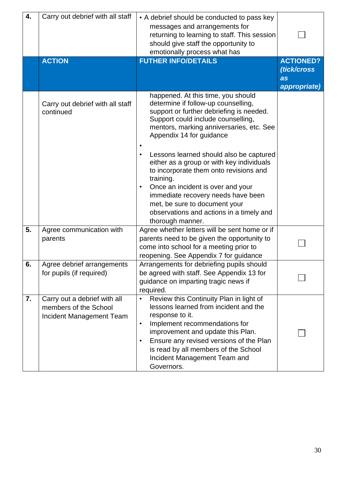| $\overline{4}$ . | Carry out debrief with all staff<br><b>ACTION</b>                                 | • A debrief should be conducted to pass key<br>messages and arrangements for<br>returning to learning to staff. This session<br>should give staff the opportunity to<br>emotionally process what has<br><b>FUTHER INFO/DETAILS</b>                                                                                                                                                                                                                                                                                                                                          | <b>ACTIONED?</b><br>(tick/cross<br>as<br>appropriate) |
|------------------|-----------------------------------------------------------------------------------|-----------------------------------------------------------------------------------------------------------------------------------------------------------------------------------------------------------------------------------------------------------------------------------------------------------------------------------------------------------------------------------------------------------------------------------------------------------------------------------------------------------------------------------------------------------------------------|-------------------------------------------------------|
|                  | Carry out debrief with all staff<br>continued                                     | happened. At this time, you should<br>determine if follow-up counselling,<br>support or further debriefing is needed.<br>Support could include counselling,<br>mentors, marking anniversaries, etc. See<br>Appendix 14 for guidance<br>Lessons learned should also be captured<br>either as a group or with key individuals<br>to incorporate them onto revisions and<br>training.<br>Once an incident is over and your<br>$\bullet$<br>immediate recovery needs have been<br>met, be sure to document your<br>observations and actions in a timely and<br>thorough manner. |                                                       |
| 5.               | Agree communication with<br>parents                                               | Agree whether letters will be sent home or if<br>parents need to be given the opportunity to<br>come into school for a meeting prior to<br>reopening. See Appendix 7 for guidance                                                                                                                                                                                                                                                                                                                                                                                           |                                                       |
| 6.               | Agree debrief arrangements<br>for pupils (if required)                            | Arrangements for debriefing pupils should<br>be agreed with staff. See Appendix 13 for<br>guidance on imparting tragic news if<br>required.                                                                                                                                                                                                                                                                                                                                                                                                                                 |                                                       |
| 7.               | Carry out a debrief with all<br>members of the School<br>Incident Management Team | Review this Continuity Plan in light of<br>$\bullet$<br>lessons learned from incident and the<br>response to it.<br>Implement recommendations for<br>$\bullet$<br>improvement and update this Plan.<br>Ensure any revised versions of the Plan<br>$\bullet$<br>is read by all members of the School<br>Incident Management Team and<br>Governors.                                                                                                                                                                                                                           |                                                       |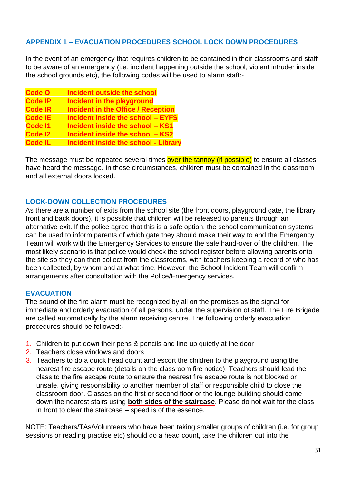# <span id="page-30-0"></span>**APPENDIX 1 – EVACUATION PROCEDURES SCHOOL LOCK DOWN PROCEDURES**

In the event of an emergency that requires children to be contained in their classrooms and staff to be aware of an emergency (i.e. incident happening outside the school, violent intruder inside the school grounds etc), the following codes will be used to alarm staff:-

| <b>Code O</b>      | Incident outside the school                 |
|--------------------|---------------------------------------------|
| <b>Code IP</b>     | Incident in the playground                  |
| <b>Code IR</b>     | <b>Incident in the Office / Reception</b>   |
| <b>Code IE</b>     | <b>Incident inside the school - EYFS</b>    |
| <b>Code I1</b>     | Incident inside the school - KS1            |
| Code <sub>12</sub> | Incident inside the school - KS2            |
| <b>Code IL</b>     | <b>Incident inside the school - Library</b> |

The message must be repeated several times over the tannoy (if possible) to ensure all classes have heard the message. In these circumstances, children must be contained in the classroom and all external doors locked.

#### **LOCK-DOWN COLLECTION PROCEDURES**

As there are a number of exits from the school site (the front doors, playground gate, the library front and back doors), it is possible that children will be released to parents through an alternative exit. If the police agree that this is a safe option, the school communication systems can be used to inform parents of which gate they should make their way to and the Emergency Team will work with the Emergency Services to ensure the safe hand-over of the children. The most likely scenario is that police would check the school register before allowing parents onto the site so they can then collect from the classrooms, with teachers keeping a record of who has been collected, by whom and at what time. However, the School Incident Team will confirm arrangements after consultation with the Police/Emergency services.

#### **EVACUATION**

The sound of the fire alarm must be recognized by all on the premises as the signal for immediate and orderly evacuation of all persons, under the supervision of staff. The Fire Brigade are called automatically by the alarm receiving centre. The following orderly evacuation procedures should be followed:-

- 1. Children to put down their pens & pencils and line up quietly at the door
- 2. Teachers close windows and doors
- 3. Teachers to do a quick head count and escort the children to the playground using the nearest fire escape route (details on the classroom fire notice). Teachers should lead the class to the fire escape route to ensure the nearest fire escape route is not blocked or unsafe, giving responsibility to another member of staff or responsible child to close the classroom door. Classes on the first or second floor or the lounge building should come down the nearest stairs using **both sides of the staircase**. Please do not wait for the class in front to clear the staircase – speed is of the essence.

NOTE: Teachers/TAs/Volunteers who have been taking smaller groups of children (i.e. for group sessions or reading practise etc) should do a head count, take the children out into the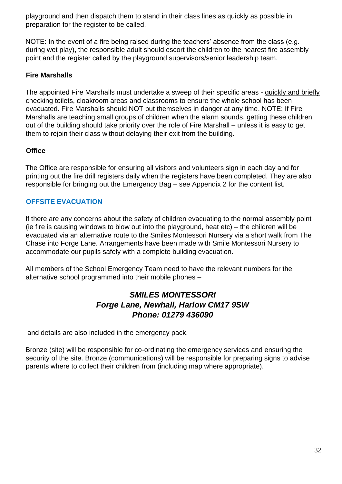playground and then dispatch them to stand in their class lines as quickly as possible in preparation for the register to be called.

NOTE: In the event of a fire being raised during the teachers' absence from the class (e.g. during wet play), the responsible adult should escort the children to the nearest fire assembly point and the register called by the playground supervisors/senior leadership team.

# **Fire Marshalls**

The appointed Fire Marshalls must undertake a sweep of their specific areas - quickly and briefly checking toilets, cloakroom areas and classrooms to ensure the whole school has been evacuated. Fire Marshalls should NOT put themselves in danger at any time. NOTE: If Fire Marshalls are teaching small groups of children when the alarm sounds, getting these children out of the building should take priority over the role of Fire Marshall – unless it is easy to get them to rejoin their class without delaying their exit from the building.

# **Office**

The Office are responsible for ensuring all visitors and volunteers sign in each day and for printing out the fire drill registers daily when the registers have been completed. They are also responsible for bringing out the Emergency Bag – see Appendix 2 for the content list.

# **OFFSITE EVACUATION**

If there are any concerns about the safety of children evacuating to the normal assembly point (ie fire is causing windows to blow out into the playground, heat etc) – the children will be evacuated via an alternative route to the Smiles Montessori Nursery via a short walk from The Chase into Forge Lane. Arrangements have been made with Smile Montessori Nursery to accommodate our pupils safely with a complete building evacuation.

All members of the School Emergency Team need to have the relevant numbers for the alternative school programmed into their mobile phones –

# *SMILES MONTESSORI Forge Lane, Newhall, Harlow CM17 9SW Phone: 01279 436090*

and details are also included in the emergency pack.

Bronze (site) will be responsible for co-ordinating the emergency services and ensuring the security of the site. Bronze (communications) will be responsible for preparing signs to advise parents where to collect their children from (including map where appropriate).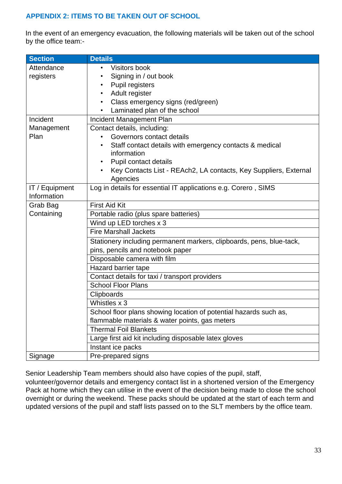# <span id="page-32-0"></span>**APPENDIX 2: ITEMS TO BE TAKEN OUT OF SCHOOL**

In the event of an emergency evacuation, the following materials will be taken out of the school by the office team:-

| <b>Section</b>              | <b>Details</b>                                                       |  |  |  |
|-----------------------------|----------------------------------------------------------------------|--|--|--|
| Attendance                  | Visitors book<br>$\bullet$                                           |  |  |  |
| registers                   | Signing in / out book                                                |  |  |  |
|                             | Pupil registers                                                      |  |  |  |
|                             | Adult register<br>$\bullet$                                          |  |  |  |
|                             | Class emergency signs (red/green)<br>$\bullet$                       |  |  |  |
|                             | Laminated plan of the school                                         |  |  |  |
| Incident                    | Incident Management Plan                                             |  |  |  |
| Management                  | Contact details, including:                                          |  |  |  |
| Plan                        | Governors contact details<br>$\bullet$                               |  |  |  |
|                             | Staff contact details with emergency contacts & medical              |  |  |  |
|                             | information                                                          |  |  |  |
|                             | Pupil contact details<br>$\bullet$                                   |  |  |  |
|                             | Key Contacts List - REAch2, LA contacts, Key Suppliers, External     |  |  |  |
|                             | Agencies                                                             |  |  |  |
| IT / Equipment              | Log in details for essential IT applications e.g. Corero, SIMS       |  |  |  |
| Information                 |                                                                      |  |  |  |
| Grab Bag                    | <b>First Aid Kit</b>                                                 |  |  |  |
| Containing                  | Portable radio (plus spare batteries)                                |  |  |  |
|                             | Wind up LED torches x 3                                              |  |  |  |
|                             | <b>Fire Marshall Jackets</b>                                         |  |  |  |
|                             | Stationery including permanent markers, clipboards, pens, blue-tack, |  |  |  |
|                             | pins, pencils and notebook paper                                     |  |  |  |
| Disposable camera with film |                                                                      |  |  |  |
| Hazard barrier tape         |                                                                      |  |  |  |
|                             | Contact details for taxi / transport providers                       |  |  |  |
|                             | <b>School Floor Plans</b>                                            |  |  |  |
| Clipboards                  |                                                                      |  |  |  |
| Whistles x 3                |                                                                      |  |  |  |
|                             | School floor plans showing location of potential hazards such as,    |  |  |  |
|                             | flammable materials & water points, gas meters                       |  |  |  |
|                             | <b>Thermal Foil Blankets</b>                                         |  |  |  |
|                             | Large first aid kit including disposable latex gloves                |  |  |  |
| Instant ice packs           |                                                                      |  |  |  |
| Signage                     | Pre-prepared signs                                                   |  |  |  |

Senior Leadership Team members should also have copies of the pupil, staff,

volunteer/governor details and emergency contact list in a shortened version of the Emergency Pack at home which they can utilise in the event of the decision being made to close the school overnight or during the weekend. These packs should be updated at the start of each term and updated versions of the pupil and staff lists passed on to the SLT members by the office team.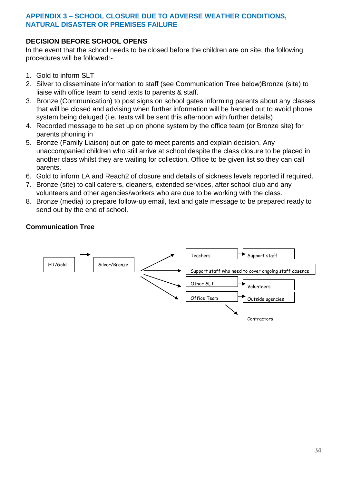### <span id="page-33-0"></span>**APPENDIX 3 – SCHOOL CLOSURE DUE TO ADVERSE WEATHER CONDITIONS, NATURAL DISASTER OR PREMISES FAILURE**

# **DECISION BEFORE SCHOOL OPENS**

In the event that the school needs to be closed before the children are on site, the following procedures will be followed:-

- 1. Gold to inform SLT
- 2. Silver to disseminate information to staff (see Communication Tree below)Bronze (site) to liaise with office team to send texts to parents & staff.
- 3. Bronze (Communication) to post signs on school gates informing parents about any classes that will be closed and advising when further information will be handed out to avoid phone system being deluged (i.e. texts will be sent this afternoon with further details)
- 4. Recorded message to be set up on phone system by the office team (or Bronze site) for parents phoning in
- 5. Bronze (Family Liaison) out on gate to meet parents and explain decision. Any unaccompanied children who still arrive at school despite the class closure to be placed in another class whilst they are waiting for collection. Office to be given list so they can call parents.
- 6. Gold to inform LA and Reach2 of closure and details of sickness levels reported if required.
- 7. Bronze (site) to call caterers, cleaners, extended services, after school club and any volunteers and other agencies/workers who are due to be working with the class.
- 8. Bronze (media) to prepare follow-up email, text and gate message to be prepared ready to send out by the end of school.

# **Communication Tree**

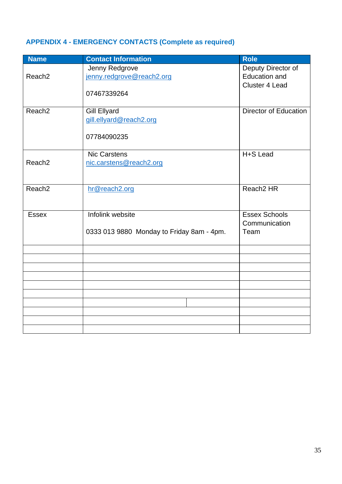# <span id="page-34-0"></span>**APPENDIX 4 - EMERGENCY CONTACTS (Complete as required)**

| <b>Name</b>        | <b>Contact Information</b>                | <b>Role</b>                  |
|--------------------|-------------------------------------------|------------------------------|
|                    | Jenny Redgrove                            | Deputy Director of           |
| Reach <sub>2</sub> | jenny.redgrove@reach2.org                 | <b>Education and</b>         |
|                    | 07467339264                               | Cluster 4 Lead               |
|                    |                                           |                              |
| Reach <sub>2</sub> | <b>Gill Ellyard</b>                       | <b>Director of Education</b> |
|                    | gill.ellyard@reach2.org                   |                              |
|                    |                                           |                              |
|                    | 07784090235                               |                              |
|                    | <b>Nic Carstens</b>                       | H+S Lead                     |
| Reach <sub>2</sub> | nic.carstens@reach2.org                   |                              |
|                    |                                           |                              |
|                    |                                           |                              |
| Reach <sub>2</sub> | hr@reach2.org                             | Reach <sub>2</sub> HR        |
|                    |                                           |                              |
| <b>Essex</b>       | Infolink website                          | <b>Essex Schools</b>         |
|                    |                                           | Communication                |
|                    | 0333 013 9880 Monday to Friday 8am - 4pm. | Team                         |
|                    |                                           |                              |
|                    |                                           |                              |
|                    |                                           |                              |
|                    |                                           |                              |
|                    |                                           |                              |
|                    |                                           |                              |
|                    |                                           |                              |
|                    |                                           |                              |
|                    |                                           |                              |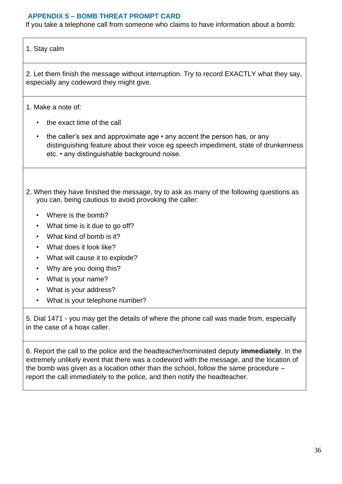# <span id="page-35-0"></span>**APPENDIX 5 – BOMB THREAT PROMPT CARD**

If you take a telephone call from someone who claims to have information about a bomb:

1. Stay calm

2. Let them finish the message without interruption. Try to record EXACTLY what they say, especially any codeword they might give.

1. Make a note of:

- the exact time of the call
- the caller's sex and approximate age any accent the person has, or any distinguishing feature about their voice eg speech impediment, state of drunkenness etc. • any distinguishable background noise.
- 2. When they have finished the message, try to ask as many of the following questions as you can, being cautious to avoid provoking the caller:
	- Where is the bomb?
	- What time is it due to go off?
	- What kind of bomb is it?
	- What does it look like?
	- What will cause it to explode?
	- Why are you doing this?
	- What is your name?
	- What is your address?
	- What is your telephone number?

5. Dial 1471 - you may get the details of where the phone call was made from, especially in the case of a hoax caller.

6. Report the call to the police and the headteacher/nominated deputy **immediately**. In the extremely unlikely event that there was a codeword with the message, and the location of the bomb was given as a location other than the school, follow the same procedure – report the call immediately to the police, and then notify the headteacher.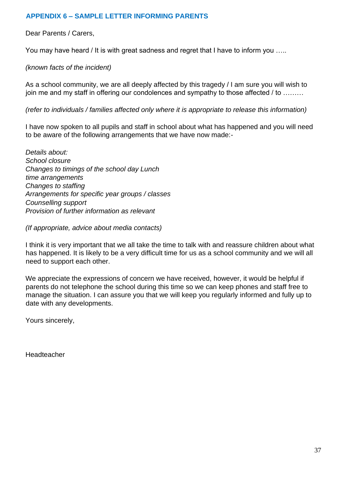## <span id="page-36-0"></span>**APPENDIX 6 – SAMPLE LETTER INFORMING PARENTS**

#### Dear Parents / Carers,

You may have heard / It is with great sadness and regret that I have to inform you ....

# *(known facts of the incident)*

As a school community, we are all deeply affected by this tragedy / I am sure you will wish to join me and my staff in offering our condolences and sympathy to those affected / to ………

*(refer to individuals / families affected only where it is appropriate to release this information)* 

I have now spoken to all pupils and staff in school about what has happened and you will need to be aware of the following arrangements that we have now made:-

*Details about: School closure Changes to timings of the school day Lunch time arrangements Changes to staffing Arrangements for specific year groups / classes Counselling support Provision of further information as relevant* 

*(If appropriate, advice about media contacts)* 

I think it is very important that we all take the time to talk with and reassure children about what has happened. It is likely to be a very difficult time for us as a school community and we will all need to support each other.

We appreciate the expressions of concern we have received, however, it would be helpful if parents do not telephone the school during this time so we can keep phones and staff free to manage the situation. I can assure you that we will keep you regularly informed and fully up to date with any developments.

Yours sincerely,

Headteacher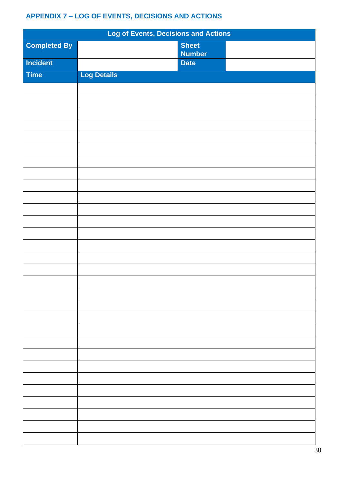# <span id="page-37-0"></span>**APPENDIX 7 – LOG OF EVENTS, DECISIONS AND ACTIONS**

| <b>Log of Events, Decisions and Actions</b> |                    |                               |  |
|---------------------------------------------|--------------------|-------------------------------|--|
| <b>Completed By</b>                         |                    | <b>Sheet</b><br><b>Number</b> |  |
| Incident                                    |                    | <b>Date</b>                   |  |
| <b>Time</b>                                 | <b>Log Details</b> |                               |  |
|                                             |                    |                               |  |
|                                             |                    |                               |  |
|                                             |                    |                               |  |
|                                             |                    |                               |  |
|                                             |                    |                               |  |
|                                             |                    |                               |  |
|                                             |                    |                               |  |
|                                             |                    |                               |  |
|                                             |                    |                               |  |
|                                             |                    |                               |  |
|                                             |                    |                               |  |
|                                             |                    |                               |  |
|                                             |                    |                               |  |
|                                             |                    |                               |  |
|                                             |                    |                               |  |
|                                             |                    |                               |  |
|                                             |                    |                               |  |
|                                             |                    |                               |  |
|                                             |                    |                               |  |
|                                             |                    |                               |  |
|                                             |                    |                               |  |
|                                             |                    |                               |  |
|                                             |                    |                               |  |
|                                             |                    |                               |  |
|                                             |                    |                               |  |
|                                             |                    |                               |  |
|                                             |                    |                               |  |
|                                             |                    |                               |  |
|                                             |                    |                               |  |
|                                             |                    |                               |  |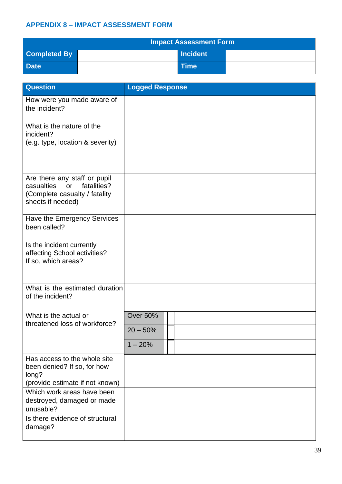# <span id="page-38-0"></span>**APPENDIX 8 – IMPACT ASSESSMENT FORM**

| <b>Impact Assessment Form</b> |  |             |  |
|-------------------------------|--|-------------|--|
| <b>Completed By</b>           |  | Incident    |  |
| <b>Date</b>                   |  | <b>Time</b> |  |

| <b>Question</b>                                                                                                       | <b>Logged Response</b> |
|-----------------------------------------------------------------------------------------------------------------------|------------------------|
| How were you made aware of<br>the incident?                                                                           |                        |
| What is the nature of the<br>incident?<br>(e.g. type, location & severity)                                            |                        |
| Are there any staff or pupil<br>fatalities?<br>casualties<br>or<br>(Complete casualty / fatality<br>sheets if needed) |                        |
| Have the Emergency Services<br>been called?                                                                           |                        |
| Is the incident currently<br>affecting School activities?<br>If so, which areas?                                      |                        |
| What is the estimated duration<br>of the incident?                                                                    |                        |
| What is the actual or<br>threatened loss of workforce?                                                                | <b>Over 50%</b>        |
|                                                                                                                       | $20 - 50%$             |
|                                                                                                                       | $1 - 20%$              |
| Has access to the whole site<br>been denied? If so, for how<br>long?<br>(provide estimate if not known)               |                        |
| Which work areas have been<br>destroyed, damaged or made<br>unusable?                                                 |                        |
| Is there evidence of structural<br>damage?                                                                            |                        |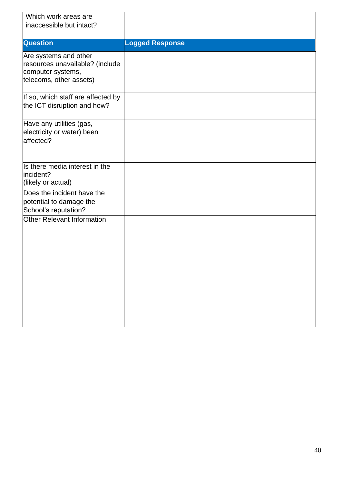| Which work areas are<br>inaccessible but intact?                                                         |                        |
|----------------------------------------------------------------------------------------------------------|------------------------|
| <b>Question</b>                                                                                          | <b>Logged Response</b> |
| Are systems and other<br>resources unavailable? (include<br>computer systems,<br>telecoms, other assets) |                        |
| If so, which staff are affected by<br>the ICT disruption and how?                                        |                        |
| Have any utilities (gas,<br>electricity or water) been<br>affected?                                      |                        |
| Is there media interest in the<br>incident?<br>(likely or actual)                                        |                        |
| Does the incident have the<br>potential to damage the<br>School's reputation?                            |                        |
| <b>Other Relevant Information</b>                                                                        |                        |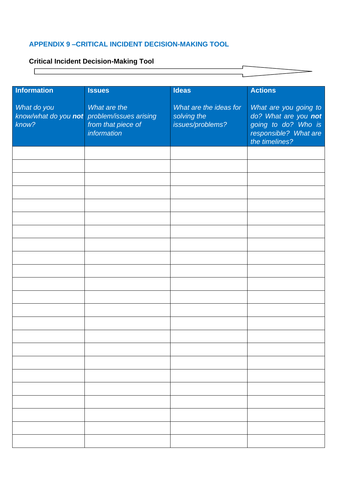# <span id="page-40-0"></span>**APPENDIX 9 –CRITICAL INCIDENT DECISION-MAKING TOOL**

# **Critical Incident Decision-Making Tool**

| <b>Issues</b>                                                                                    | <b>Ideas</b>                                              | <b>Actions</b>                                                                                                  |
|--------------------------------------------------------------------------------------------------|-----------------------------------------------------------|-----------------------------------------------------------------------------------------------------------------|
| What are the<br>know/what do you not problem/issues arising<br>from that piece of<br>information | What are the ideas for<br>solving the<br>issues/problems? | What are you going to<br>do? What are you not<br>going to do? Who is<br>responsible? What are<br>the timelines? |
|                                                                                                  |                                                           |                                                                                                                 |
|                                                                                                  |                                                           |                                                                                                                 |
|                                                                                                  |                                                           |                                                                                                                 |
|                                                                                                  |                                                           |                                                                                                                 |
|                                                                                                  |                                                           |                                                                                                                 |
|                                                                                                  |                                                           |                                                                                                                 |
|                                                                                                  |                                                           |                                                                                                                 |
|                                                                                                  |                                                           |                                                                                                                 |
|                                                                                                  |                                                           |                                                                                                                 |
|                                                                                                  |                                                           |                                                                                                                 |
|                                                                                                  |                                                           |                                                                                                                 |
|                                                                                                  |                                                           |                                                                                                                 |
|                                                                                                  |                                                           |                                                                                                                 |
|                                                                                                  |                                                           |                                                                                                                 |
|                                                                                                  |                                                           |                                                                                                                 |
|                                                                                                  |                                                           |                                                                                                                 |
|                                                                                                  |                                                           |                                                                                                                 |
|                                                                                                  |                                                           |                                                                                                                 |
|                                                                                                  |                                                           |                                                                                                                 |
|                                                                                                  |                                                           |                                                                                                                 |
|                                                                                                  |                                                           |                                                                                                                 |
|                                                                                                  |                                                           |                                                                                                                 |
|                                                                                                  |                                                           |                                                                                                                 |
|                                                                                                  |                                                           |                                                                                                                 |

 $\overline{\phantom{0}}$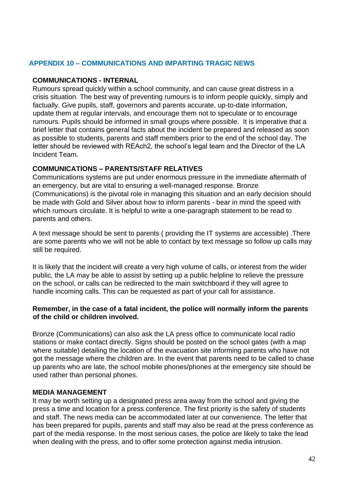# <span id="page-41-0"></span>**APPENDIX 10 – COMMUNICATIONS AND IMPARTING TRAGIC NEWS**

#### <span id="page-41-1"></span>**COMMUNICATIONS - INTERNAL**

Rumours spread quickly within a school community, and can cause great distress in a crisis situation. The best way of preventing rumours is to inform people quickly, simply and factually. Give pupils, staff, governors and parents accurate, up-to-date information, update them at regular intervals, and encourage them not to speculate or to encourage rumours. Pupils should be informed in small groups where possible. It is imperative that a brief letter that contains general facts about the incident be prepared and released as soon as possible to students, parents and staff members prior to the end of the school day. The letter should be reviewed with REAch2, the school's legal team and the Director of the LA Incident Team.

# <span id="page-41-2"></span>**COMMUNICATIONS – PARENTS/STAFF RELATIVES**

Communications systems are put under enormous pressure in the immediate aftermath of an emergency, but are vital to ensuring a well-managed response. Bronze (Communications) is the pivotal role in managing this situation and an early decision should be made with Gold and Silver about how to inform parents - bear in mind the speed with which rumours circulate. It is helpful to write a one-paragraph statement to be read to parents and others.

A text message should be sent to parents ( providing the IT systems are accessible) .There are some parents who we will not be able to contact by text message so follow up calls may still be required.

It is likely that the incident will create a very high volume of calls, or interest from the wider public, the LA may be able to assist by setting up a public helpline to relieve the pressure on the school, or calls can be redirected to the main switchboard if they will agree to handle incoming calls. This can be requested as part of your call for assistance.

#### **Remember, in the case of a fatal incident, the police will normally inform the parents of the child or children involved.**

Bronze (Communications) can also ask the LA press office to communicate local radio stations or make contact directly. Signs should be posted on the school gates (with a map where suitable) detailing the location of the evacuation site informing parents who have not got the message where the children are. In the event that parents need to be called to chase up parents who are late, the school mobile phones/phones at the emergency site should be used rather than personal phones.

### <span id="page-41-3"></span>**MEDIA MANAGEMENT**

It may be worth setting up a designated press area away from the school and giving the press a time and location for a press conference. The first priority is the safety of students and staff. The news media can be accommodated later at our convenience. The letter that has been prepared for pupils, parents and staff may also be read at the press conference as part of the media response. In the most serious cases, the police are likely to take the lead when dealing with the press, and to offer some protection against media intrusion.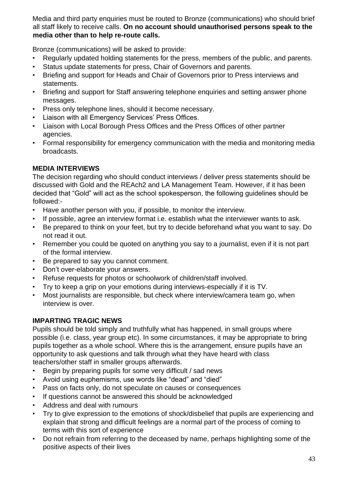Media and third party enquiries must be routed to Bronze (communications) who should brief all staff likely to receive calls. **On no account should unauthorised persons speak to the media other than to help re-route calls.**

Bronze (communications) will be asked to provide:

- Regularly updated holding statements for the press, members of the public, and parents.
- Status update statements for press, Chair of Governors and parents.
- Briefing and support for Heads and Chair of Governors prior to Press interviews and statements.
- Briefing and support for Staff answering telephone enquiries and setting answer phone messages.
- Press only telephone lines, should it become necessary.
- Liaison with all Emergency Services' Press Offices.
- Liaison with Local Borough Press Offices and the Press Offices of other partner agencies.
- Formal responsibility for emergency communication with the media and monitoring media broadcasts.

# <span id="page-42-0"></span>**MEDIA INTERVIEWS**

The decision regarding who should conduct interviews / deliver press statements should be discussed with Gold and the REAch2 and LA Management Team. However, if it has been decided that "Gold" will act as the school spokesperson, the following guidelines should be followed:-

- Have another person with you, if possible, to monitor the interview.
- If possible, agree an interview format i.e. establish what the interviewer wants to ask.
- Be prepared to think on your feet, but try to decide beforehand what you want to say. Do not read it out.
- Remember you could be quoted on anything you say to a journalist, even if it is not part of the formal interview.
- Be prepared to say you cannot comment.
- Don't over-elaborate your answers.
- Refuse requests for photos or schoolwork of children/staff involved.
- Try to keep a grip on your emotions during interviews-especially if it is TV.
- Most journalists are responsible, but check where interview/camera team go, when interview is over.

# <span id="page-42-1"></span>**IMPARTING TRAGIC NEWS**

Pupils should be told simply and truthfully what has happened, in small groups where possible (i.e. class, year group etc). In some circumstances, it may be appropriate to bring pupils together as a whole school. Where this is the arrangement, ensure pupils have an opportunity to ask questions and talk through what they have heard with class teachers/other staff in smaller groups afterwards.

- Begin by preparing pupils for some very difficult / sad news
- Avoid using euphemisms, use words like "dead" and "died"
- Pass on facts only, do not speculate on causes or consequences
- If questions cannot be answered this should be acknowledged
- Address and deal with rumours
- Try to give expression to the emotions of shock/disbelief that pupils are experiencing and explain that strong and difficult feelings are a normal part of the process of coming to terms with this sort of experience
- Do not refrain from referring to the deceased by name, perhaps highlighting some of the positive aspects of their lives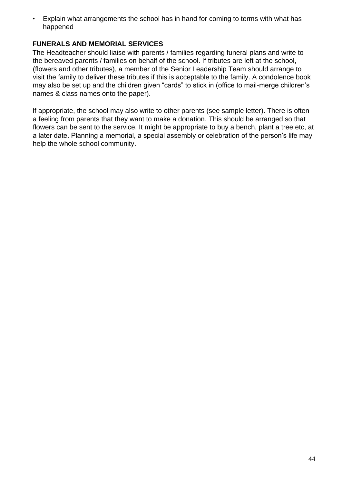• Explain what arrangements the school has in hand for coming to terms with what has happened

# <span id="page-43-0"></span>**FUNERALS AND MEMORIAL SERVICES**

The Headteacher should liaise with parents / families regarding funeral plans and write to the bereaved parents / families on behalf of the school. If tributes are left at the school, (flowers and other tributes), a member of the Senior Leadership Team should arrange to visit the family to deliver these tributes if this is acceptable to the family. A condolence book may also be set up and the children given "cards" to stick in (office to mail-merge children's names & class names onto the paper).

If appropriate, the school may also write to other parents (see sample letter). There is often a feeling from parents that they want to make a donation. This should be arranged so that flowers can be sent to the service. It might be appropriate to buy a bench, plant a tree etc, at a later date. Planning a memorial, a special assembly or celebration of the person's life may help the whole school community.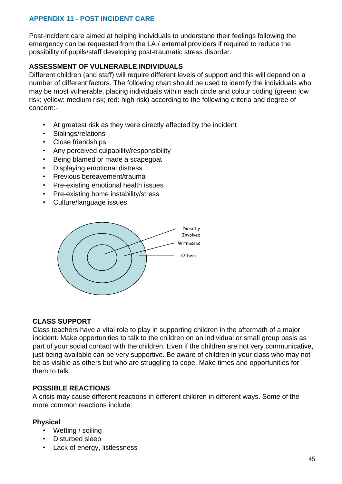# <span id="page-44-0"></span>**APPENDIX 11 - POST INCIDENT CARE**

Post-incident care aimed at helping individuals to understand their feelings following the emergency can be requested from the LA / external providers if required to reduce the possibility of pupils/staff developing post-traumatic stress disorder.

# <span id="page-44-1"></span>**ASSESSMENT OF VULNERABLE INDIVIDUALS**

Different children (and staff) will require different levels of support and this will depend on a number of different factors. The following chart should be used to identify the individuals who may be most vulnerable, placing individuals within each circle and colour coding (green: low risk; yellow: medium risk; red: high risk) according to the following criteria and degree of concern:-

- At greatest risk as they were directly affected by the incident
- Siblings/relations
- Close friendships
- Any perceived culpability/responsibility
- Being blamed or made a scapegoat
- Displaying emotional distress
- Previous bereavement/trauma
- Pre-existing emotional health issues
- Pre-existing home instability/stress
- Culture/language issues



### <span id="page-44-2"></span>**CLASS SUPPORT**

Class teachers have a vital role to play in supporting children in the aftermath of a major incident. Make opportunities to talk to the children on an individual or small group basis as part of your social contact with the children. Even if the children are not very communicative, just being available can be very supportive. Be aware of children in your class who may not be as visible as others but who are struggling to cope. Make times and opportunities for them to talk.

### <span id="page-44-3"></span>**POSSIBLE REACTIONS**

A crisis may cause different reactions in different children in different ways. Some of the more common reactions include:

### <span id="page-44-4"></span>**Physical**

- Wetting / soiling
- Disturbed sleep
- Lack of energy, listlessness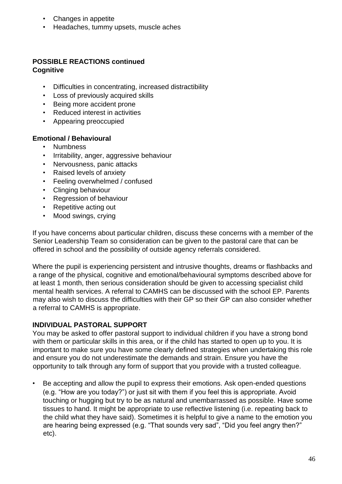- Changes in appetite
- Headaches, tummy upsets, muscle aches

# <span id="page-45-0"></span>**POSSIBLE REACTIONS continued Cognitive**

- Difficulties in concentrating, increased distractibility
- Loss of previously acquired skills
- Being more accident prone
- Reduced interest in activities
- Appearing preoccupied

# <span id="page-45-1"></span>**Emotional / Behavioural**

- Numbness
- Irritability, anger, aggressive behaviour
- Nervousness, panic attacks
- Raised levels of anxiety
- Feeling overwhelmed / confused
- Clinging behaviour
- Regression of behaviour
- Repetitive acting out
- Mood swings, crying

If you have concerns about particular children, discuss these concerns with a member of the Senior Leadership Team so consideration can be given to the pastoral care that can be offered in school and the possibility of outside agency referrals considered.

Where the pupil is experiencing persistent and intrusive thoughts, dreams or flashbacks and a range of the physical, cognitive and emotional/behavioural symptoms described above for at least 1 month, then serious consideration should be given to accessing specialist child mental health services. A referral to CAMHS can be discussed with the school EP. Parents may also wish to discuss the difficulties with their GP so their GP can also consider whether a referral to CAMHS is appropriate.

# <span id="page-45-2"></span>**INDIVIDUAL PASTORAL SUPPORT**

You may be asked to offer pastoral support to individual children if you have a strong bond with them or particular skills in this area, or if the child has started to open up to you. It is important to make sure you have some clearly defined strategies when undertaking this role and ensure you do not underestimate the demands and strain. Ensure you have the opportunity to talk through any form of support that you provide with a trusted colleague.

• Be accepting and allow the pupil to express their emotions. Ask open-ended questions (e.g. "How are you today?") or just sit with them if you feel this is appropriate. Avoid touching or hugging but try to be as natural and unembarrassed as possible. Have some tissues to hand. It might be appropriate to use reflective listening (i.e. repeating back to the child what they have said). Sometimes it is helpful to give a name to the emotion you are hearing being expressed (e.g. "That sounds very sad", "Did you feel angry then?" etc).